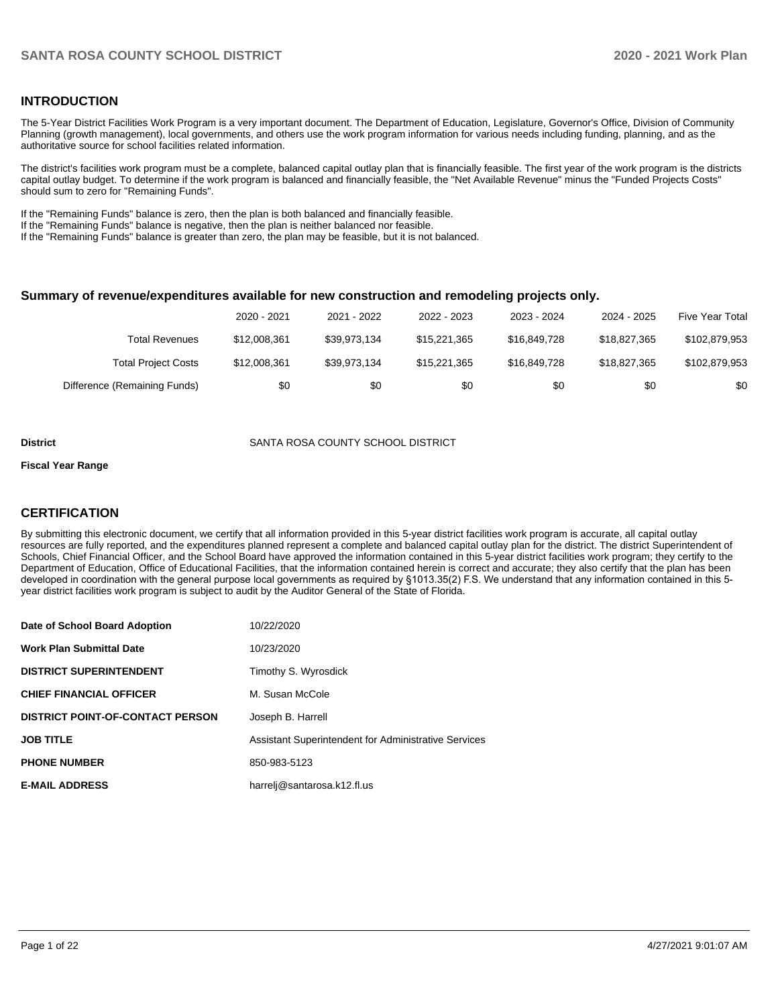## **INTRODUCTION**

The 5-Year District Facilities Work Program is a very important document. The Department of Education, Legislature, Governor's Office, Division of Community Planning (growth management), local governments, and others use the work program information for various needs including funding, planning, and as the authoritative source for school facilities related information.

The district's facilities work program must be a complete, balanced capital outlay plan that is financially feasible. The first year of the work program is the districts capital outlay budget. To determine if the work program is balanced and financially feasible, the "Net Available Revenue" minus the "Funded Projects Costs" should sum to zero for "Remaining Funds".

If the "Remaining Funds" balance is zero, then the plan is both balanced and financially feasible.

If the "Remaining Funds" balance is negative, then the plan is neither balanced nor feasible.

If the "Remaining Funds" balance is greater than zero, the plan may be feasible, but it is not balanced.

#### **Summary of revenue/expenditures available for new construction and remodeling projects only.**

|                              | 2020 - 2021  | 2021 - 2022  | 2022 - 2023  | 2023 - 2024  | 2024 - 2025  | <b>Five Year Total</b> |
|------------------------------|--------------|--------------|--------------|--------------|--------------|------------------------|
| <b>Total Revenues</b>        | \$12,008,361 | \$39.973.134 | \$15,221,365 | \$16,849,728 | \$18,827,365 | \$102,879,953          |
| <b>Total Project Costs</b>   | \$12,008,361 | \$39.973.134 | \$15,221,365 | \$16,849,728 | \$18,827,365 | \$102,879,953          |
| Difference (Remaining Funds) | \$0          | \$0          | \$0          | \$0          | \$0          | \$0                    |

#### **District** SANTA ROSA COUNTY SCHOOL DISTRICT

#### **Fiscal Year Range**

## **CERTIFICATION**

By submitting this electronic document, we certify that all information provided in this 5-year district facilities work program is accurate, all capital outlay resources are fully reported, and the expenditures planned represent a complete and balanced capital outlay plan for the district. The district Superintendent of Schools, Chief Financial Officer, and the School Board have approved the information contained in this 5-year district facilities work program; they certify to the Department of Education, Office of Educational Facilities, that the information contained herein is correct and accurate; they also certify that the plan has been developed in coordination with the general purpose local governments as required by §1013.35(2) F.S. We understand that any information contained in this 5 year district facilities work program is subject to audit by the Auditor General of the State of Florida.

| Date of School Board Adoption           | 10/22/2020                                           |
|-----------------------------------------|------------------------------------------------------|
| <b>Work Plan Submittal Date</b>         | 10/23/2020                                           |
| <b>DISTRICT SUPERINTENDENT</b>          | Timothy S. Wyrosdick                                 |
| <b>CHIEF FINANCIAL OFFICER</b>          | M. Susan McCole                                      |
| <b>DISTRICT POINT-OF-CONTACT PERSON</b> | Joseph B. Harrell                                    |
| <b>JOB TITLE</b>                        | Assistant Superintendent for Administrative Services |
| <b>PHONE NUMBER</b>                     | 850-983-5123                                         |
| <b>E-MAIL ADDRESS</b>                   | harrelj@santarosa.k12.fl.us                          |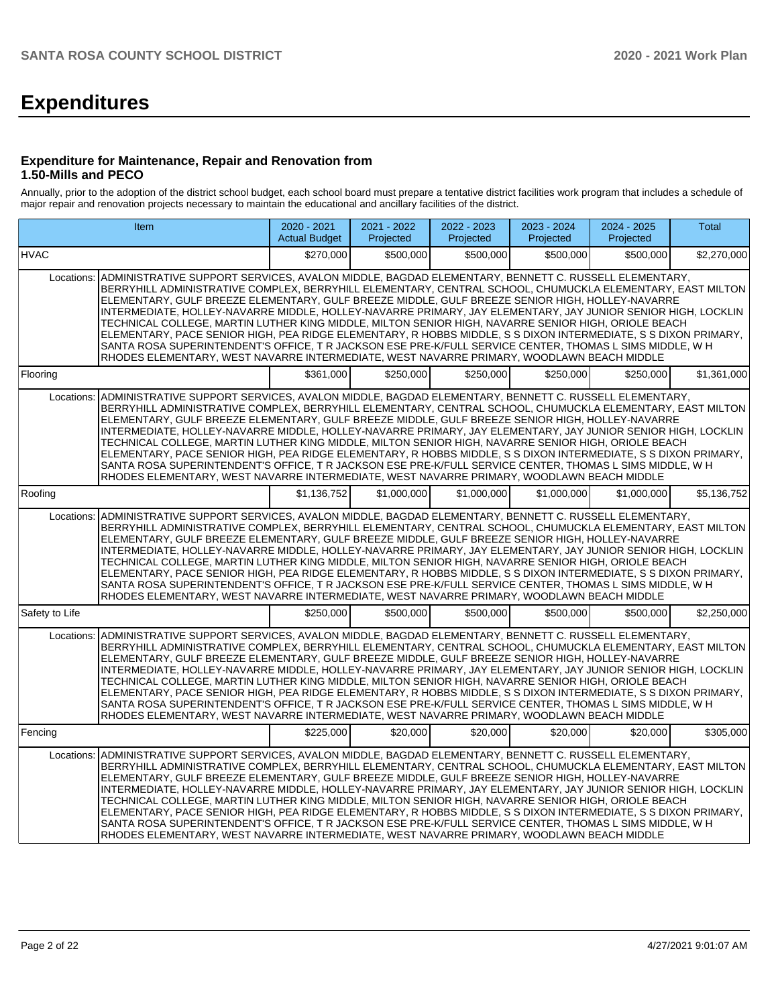# **Expenditures**

## **Expenditure for Maintenance, Repair and Renovation from 1.50-Mills and PECO**

Annually, prior to the adoption of the district school budget, each school board must prepare a tentative district facilities work program that includes a schedule of major repair and renovation projects necessary to maintain the educational and ancillary facilities of the district.

| <b>Item</b>                                                                                                                                                                                                                                                                                                                                                                                                                                                                                                                                                                                                                                                                                                                                                                                                                                                                       | 2020 - 2021<br><b>Actual Budget</b> | 2021 - 2022<br>Projected | 2022 - 2023<br>Projected | 2023 - 2024<br>Projected | 2024 - 2025<br>Projected | Total       |
|-----------------------------------------------------------------------------------------------------------------------------------------------------------------------------------------------------------------------------------------------------------------------------------------------------------------------------------------------------------------------------------------------------------------------------------------------------------------------------------------------------------------------------------------------------------------------------------------------------------------------------------------------------------------------------------------------------------------------------------------------------------------------------------------------------------------------------------------------------------------------------------|-------------------------------------|--------------------------|--------------------------|--------------------------|--------------------------|-------------|
| <b>HVAC</b>                                                                                                                                                                                                                                                                                                                                                                                                                                                                                                                                                                                                                                                                                                                                                                                                                                                                       | \$270.000                           | \$500.000                | \$500.000                | \$500,000                | \$500,000                | \$2,270,000 |
| ADMINISTRATIVE SUPPORT SERVICES, AVALON MIDDLE, BAGDAD ELEMENTARY, BENNETT C. RUSSELL ELEMENTARY,<br>Locations:<br>BERRYHILL ADMINISTRATIVE COMPLEX, BERRYHILL ELEMENTARY, CENTRAL SCHOOL, CHUMUCKLA ELEMENTARY, EAST MILTON<br>ELEMENTARY, GULF BREEZE ELEMENTARY, GULF BREEZE MIDDLE, GULF BREEZE SENIOR HIGH, HOLLEY-NAVARRE<br>INTERMEDIATE, HOLLEY-NAVARRE MIDDLE, HOLLEY-NAVARRE PRIMARY, JAY ELEMENTARY, JAY JUNIOR SENIOR HIGH, LOCKLIN<br>TECHNICAL COLLEGE, MARTIN LUTHER KING MIDDLE, MILTON SENIOR HIGH, NAVARRE SENIOR HIGH, ORIOLE BEACH<br>ELEMENTARY, PACE SENIOR HIGH, PEA RIDGE ELEMENTARY, R HOBBS MIDDLE, S S DIXON INTERMEDIATE, S S DIXON PRIMARY,<br>SANTA ROSA SUPERINTENDENT'S OFFICE, T R JACKSON ESE PRE-K/FULL SERVICE CENTER, THOMAS L SIMS MIDDLE, W H<br>RHODES ELEMENTARY, WEST NAVARRE INTERMEDIATE, WEST NAVARRE PRIMARY, WOODLAWN BEACH MIDDLE |                                     |                          |                          |                          |                          |             |
| Flooring                                                                                                                                                                                                                                                                                                                                                                                                                                                                                                                                                                                                                                                                                                                                                                                                                                                                          | \$361,000                           | \$250,000                | \$250,000                | \$250,000                | \$250,000                | \$1,361,000 |
| ADMINISTRATIVE SUPPORT SERVICES, AVALON MIDDLE, BAGDAD ELEMENTARY, BENNETT C. RUSSELL ELEMENTARY,<br>Locations:<br>BERRYHILL ADMINISTRATIVE COMPLEX, BERRYHILL ELEMENTARY, CENTRAL SCHOOL, CHUMUCKLA ELEMENTARY, EAST MILTON<br>ELEMENTARY, GULF BREEZE ELEMENTARY, GULF BREEZE MIDDLE, GULF BREEZE SENIOR HIGH, HOLLEY-NAVARRE<br>INTERMEDIATE, HOLLEY-NAVARRE MIDDLE, HOLLEY-NAVARRE PRIMARY, JAY ELEMENTARY, JAY JUNIOR SENIOR HIGH, LOCKLIN<br>TECHNICAL COLLEGE, MARTIN LUTHER KING MIDDLE, MILTON SENIOR HIGH, NAVARRE SENIOR HIGH, ORIOLE BEACH<br>ELEMENTARY, PACE SENIOR HIGH, PEA RIDGE ELEMENTARY, R HOBBS MIDDLE, S S DIXON INTERMEDIATE, S S DIXON PRIMARY,<br>SANTA ROSA SUPERINTENDENT'S OFFICE, T R JACKSON ESE PRE-K/FULL SERVICE CENTER, THOMAS L SIMS MIDDLE, W H<br>RHODES ELEMENTARY, WEST NAVARRE INTERMEDIATE, WEST NAVARRE PRIMARY, WOODLAWN BEACH MIDDLE |                                     |                          |                          |                          |                          |             |
| Roofing                                                                                                                                                                                                                                                                                                                                                                                                                                                                                                                                                                                                                                                                                                                                                                                                                                                                           | \$1.136.752                         | \$1.000.000              | \$1.000.000              | \$1.000.000              | \$1,000,000              | \$5.136.752 |
| ADMINISTRATIVE SUPPORT SERVICES, AVALON MIDDLE, BAGDAD ELEMENTARY, BENNETT C. RUSSELL ELEMENTARY,<br>Locations:<br>BERRYHILL ADMINISTRATIVE COMPLEX, BERRYHILL ELEMENTARY, CENTRAL SCHOOL, CHUMUCKLA ELEMENTARY, EAST MILTON<br>ELEMENTARY, GULF BREEZE ELEMENTARY, GULF BREEZE MIDDLE, GULF BREEZE SENIOR HIGH, HOLLEY-NAVARRE<br>INTERMEDIATE, HOLLEY-NAVARRE MIDDLE, HOLLEY-NAVARRE PRIMARY, JAY ELEMENTARY, JAY JUNIOR SENIOR HIGH, LOCKLIN<br>TECHNICAL COLLEGE, MARTIN LUTHER KING MIDDLE, MILTON SENIOR HIGH, NAVARRE SENIOR HIGH, ORIOLE BEACH<br>ELEMENTARY, PACE SENIOR HIGH, PEA RIDGE ELEMENTARY, R HOBBS MIDDLE, S S DIXON INTERMEDIATE, S S DIXON PRIMARY,<br>SANTA ROSA SUPERINTENDENT'S OFFICE, T R JACKSON ESE PRE-K/FULL SERVICE CENTER, THOMAS L SIMS MIDDLE, W H<br>RHODES ELEMENTARY, WEST NAVARRE INTERMEDIATE, WEST NAVARRE PRIMARY, WOODLAWN BEACH MIDDLE |                                     |                          |                          |                          |                          |             |
| Safety to Life                                                                                                                                                                                                                                                                                                                                                                                                                                                                                                                                                                                                                                                                                                                                                                                                                                                                    | \$250,000                           | \$500,000                | \$500,000                | \$500,000                | \$500,000                | \$2,250,000 |
| ADMINISTRATIVE SUPPORT SERVICES, AVALON MIDDLE, BAGDAD ELEMENTARY, BENNETT C. RUSSELL ELEMENTARY,<br>Locations:<br>BERRYHILL ADMINISTRATIVE COMPLEX, BERRYHILL ELEMENTARY, CENTRAL SCHOOL, CHUMUCKLA ELEMENTARY, EAST MILTON<br>ELEMENTARY, GULF BREEZE ELEMENTARY, GULF BREEZE MIDDLE, GULF BREEZE SENIOR HIGH, HOLLEY-NAVARRE<br>INTERMEDIATE, HOLLEY-NAVARRE MIDDLE, HOLLEY-NAVARRE PRIMARY, JAY ELEMENTARY, JAY JUNIOR SENIOR HIGH, LOCKLIN<br>TECHNICAL COLLEGE, MARTIN LUTHER KING MIDDLE, MILTON SENIOR HIGH, NAVARRE SENIOR HIGH, ORIOLE BEACH<br>ELEMENTARY, PACE SENIOR HIGH, PEA RIDGE ELEMENTARY, R HOBBS MIDDLE, S S DIXON INTERMEDIATE, S S DIXON PRIMARY,<br>SANTA ROSA SUPERINTENDENT'S OFFICE, T R JACKSON ESE PRE-K/FULL SERVICE CENTER, THOMAS L SIMS MIDDLE, W H<br>RHODES ELEMENTARY, WEST NAVARRE INTERMEDIATE, WEST NAVARRE PRIMARY, WOODLAWN BEACH MIDDLE |                                     |                          |                          |                          |                          |             |
| Fencing                                                                                                                                                                                                                                                                                                                                                                                                                                                                                                                                                                                                                                                                                                                                                                                                                                                                           | \$225.000                           | \$20,000                 | \$20,000                 | \$20,000                 | \$20,000                 | \$305.000   |
| ADMINISTRATIVE SUPPORT SERVICES, AVALON MIDDLE, BAGDAD ELEMENTARY, BENNETT C. RUSSELL ELEMENTARY,<br>Locations:<br>BERRYHILL ADMINISTRATIVE COMPLEX, BERRYHILL ELEMENTARY, CENTRAL SCHOOL, CHUMUCKLA ELEMENTARY, EAST MILTON<br>ELEMENTARY, GULF BREEZE ELEMENTARY, GULF BREEZE MIDDLE, GULF BREEZE SENIOR HIGH, HOLLEY-NAVARRE<br>INTERMEDIATE, HOLLEY-NAVARRE MIDDLE, HOLLEY-NAVARRE PRIMARY, JAY ELEMENTARY, JAY JUNIOR SENIOR HIGH, LOCKLIN<br>TECHNICAL COLLEGE, MARTIN LUTHER KING MIDDLE, MILTON SENIOR HIGH, NAVARRE SENIOR HIGH, ORIOLE BEACH<br>ELEMENTARY, PACE SENIOR HIGH, PEA RIDGE ELEMENTARY, R HOBBS MIDDLE, S S DIXON INTERMEDIATE, S S DIXON PRIMARY,<br>SANTA ROSA SUPERINTENDENT'S OFFICE, T R JACKSON ESE PRE-K/FULL SERVICE CENTER, THOMAS L SIMS MIDDLE, W H<br>RHODES ELEMENTARY, WEST NAVARRE INTERMEDIATE, WEST NAVARRE PRIMARY, WOODLAWN BEACH MIDDLE |                                     |                          |                          |                          |                          |             |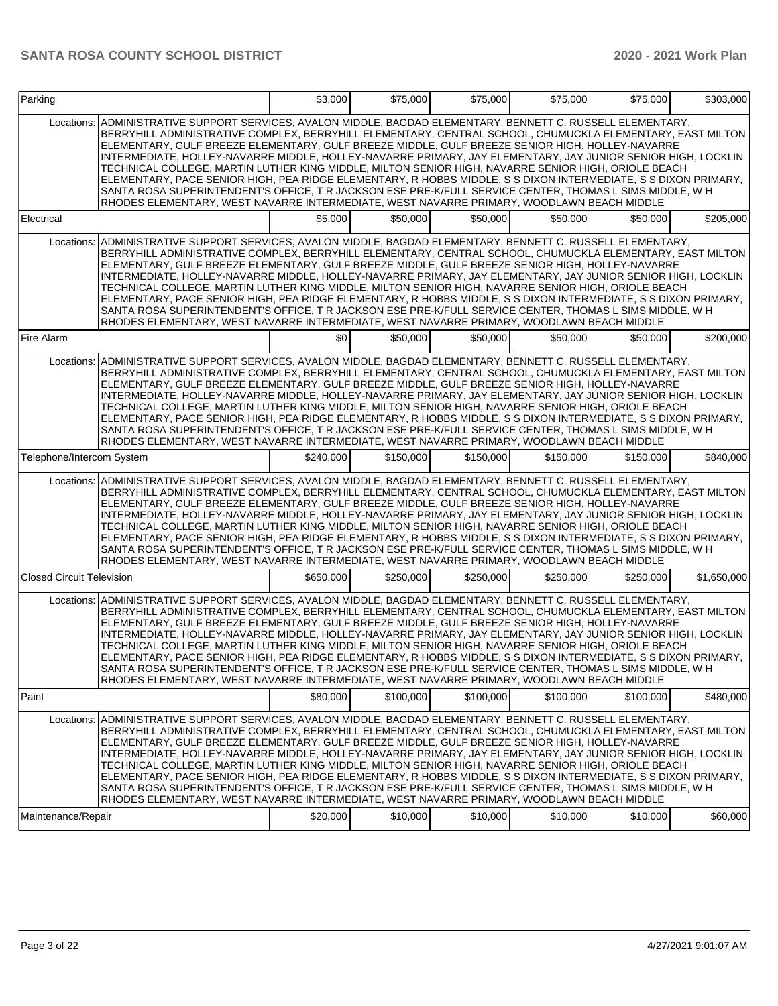| Parking                                                                                                                                                                                                                                                                                                                                                                                                                                                                                                                                                                                                                                                                                                                                                                                                                                                                                              | \$3,000   | \$75,000  | \$75,000  | \$75,000  | \$75,000  | \$303,000   |
|------------------------------------------------------------------------------------------------------------------------------------------------------------------------------------------------------------------------------------------------------------------------------------------------------------------------------------------------------------------------------------------------------------------------------------------------------------------------------------------------------------------------------------------------------------------------------------------------------------------------------------------------------------------------------------------------------------------------------------------------------------------------------------------------------------------------------------------------------------------------------------------------------|-----------|-----------|-----------|-----------|-----------|-------------|
| ADMINISTRATIVE SUPPORT SERVICES, AVALON MIDDLE, BAGDAD ELEMENTARY, BENNETT C. RUSSELL ELEMENTARY,<br>Locations:<br>BERRYHILL ADMINISTRATIVE COMPLEX. BERRYHILL ELEMENTARY. CENTRAL SCHOOL. CHUMUCKLA ELEMENTARY. EAST MILTON<br>ELEMENTARY, GULF BREEZE ELEMENTARY, GULF BREEZE MIDDLE, GULF BREEZE SENIOR HIGH, HOLLEY-NAVARRE<br>INTERMEDIATE, HOLLEY-NAVARRE MIDDLE, HOLLEY-NAVARRE PRIMARY, JAY ELEMENTARY, JAY JUNIOR SENIOR HIGH, LOCKLIN<br>TECHNICAL COLLEGE, MARTIN LUTHER KING MIDDLE, MILTON SENIOR HIGH, NAVARRE SENIOR HIGH, ORIOLE BEACH<br>ELEMENTARY, PACE SENIOR HIGH, PEA RIDGE ELEMENTARY, R HOBBS MIDDLE, S S DIXON INTERMEDIATE, S S DIXON PRIMARY,<br>SANTA ROSA SUPERINTENDENT'S OFFICE, T R JACKSON ESE PRE-K/FULL SERVICE CENTER, THOMAS L SIMS MIDDLE, W H<br>RHODES ELEMENTARY, WEST NAVARRE INTERMEDIATE, WEST NAVARRE PRIMARY, WOODLAWN BEACH MIDDLE                    |           |           |           |           |           |             |
| Electrical                                                                                                                                                                                                                                                                                                                                                                                                                                                                                                                                                                                                                                                                                                                                                                                                                                                                                           | \$5,000   | \$50,000  | \$50,000  | \$50,000  | \$50,000  | \$205,000   |
| Locations: ADMINISTRATIVE SUPPORT SERVICES, AVALON MIDDLE, BAGDAD ELEMENTARY, BENNETT C. RUSSELL ELEMENTARY,<br>BERRYHILL ADMINISTRATIVE COMPLEX, BERRYHILL ELEMENTARY, CENTRAL SCHOOL, CHUMUCKLA ELEMENTARY, EAST MILTON<br>ELEMENTARY, GULF BREEZE ELEMENTARY, GULF BREEZE MIDDLE, GULF BREEZE SENIOR HIGH, HOLLEY-NAVARRE<br>INTERMEDIATE, HOLLEY-NAVARRE MIDDLE, HOLLEY-NAVARRE PRIMARY, JAY ELEMENTARY, JAY JUNIOR SENIOR HIGH, LOCKLIN<br>TECHNICAL COLLEGE, MARTIN LUTHER KING MIDDLE, MILTON SENIOR HIGH, NAVARRE SENIOR HIGH, ORIOLE BEACH<br>ELEMENTARY, PACE SENIOR HIGH, PEA RIDGE ELEMENTARY, R HOBBS MIDDLE, S S DIXON INTERMEDIATE, S S DIXON PRIMARY,<br>SANTA ROSA SUPERINTENDENT'S OFFICE, T R JACKSON ESE PRE-K/FULL SERVICE CENTER, THOMAS L SIMS MIDDLE, W H<br>RHODES ELEMENTARY, WEST NAVARRE INTERMEDIATE, WEST NAVARRE PRIMARY, WOODLAWN BEACH MIDDLE                       |           |           |           |           |           |             |
| Fire Alarm                                                                                                                                                                                                                                                                                                                                                                                                                                                                                                                                                                                                                                                                                                                                                                                                                                                                                           | \$0       | \$50,000  | \$50,000  | \$50,000  | \$50,000  | \$200,000   |
| Locations: ADMINISTRATIVE SUPPORT SERVICES, AVALON MIDDLE, BAGDAD ELEMENTARY, BENNETT C. RUSSELL ELEMENTARY,<br>BERRYHILL ADMINISTRATIVE COMPLEX, BERRYHILL ELEMENTARY, CENTRAL SCHOOL, CHUMUCKLA ELEMENTARY, EAST MILTON<br>ELEMENTARY, GULF BREEZE ELEMENTARY, GULF BREEZE MIDDLE, GULF BREEZE SENIOR HIGH, HOLLEY-NAVARRE<br>INTERMEDIATE, HOLLEY-NAVARRE MIDDLE, HOLLEY-NAVARRE PRIMARY, JAY ELEMENTARY, JAY JUNIOR SENIOR HIGH, LOCKLIN<br>TECHNICAL COLLEGE, MARTIN LUTHER KING MIDDLE, MILTON SENIOR HIGH, NAVARRE SENIOR HIGH, ORIOLE BEACH<br>ELEMENTARY, PACE SENIOR HIGH, PEA RIDGE ELEMENTARY, R HOBBS MIDDLE, S S DIXON INTERMEDIATE, S S DIXON PRIMARY,<br>SANTA ROSA SUPERINTENDENT'S OFFICE, T R JACKSON ESE PRE-K/FULL SERVICE CENTER, THOMAS L SIMS MIDDLE, W H<br>RHODES ELEMENTARY, WEST NAVARRE INTERMEDIATE, WEST NAVARRE PRIMARY, WOODLAWN BEACH MIDDLE                       |           |           |           |           |           |             |
| Telephone/Intercom System                                                                                                                                                                                                                                                                                                                                                                                                                                                                                                                                                                                                                                                                                                                                                                                                                                                                            | \$240.000 | \$150,000 | \$150,000 | \$150,000 | \$150,000 | \$840,000   |
| ADMINISTRATIVE SUPPORT SERVICES, AVALON MIDDLE, BAGDAD ELEMENTARY, BENNETT C. RUSSELL ELEMENTARY,<br>Locations:<br>BERRYHILL ADMINISTRATIVE COMPLEX, BERRYHILL ELEMENTARY, CENTRAL SCHOOL, CHUMUCKLA ELEMENTARY, EAST MILTON<br>ELEMENTARY, GULF BREEZE ELEMENTARY, GULF BREEZE MIDDLE, GULF BREEZE SENIOR HIGH, HOLLEY-NAVARRE<br>INTERMEDIATE, HOLLEY-NAVARRE MIDDLE, HOLLEY-NAVARRE PRIMARY, JAY ELEMENTARY, JAY JUNIOR SENIOR HIGH, LOCKLIN<br>TECHNICAL COLLEGE, MARTIN LUTHER KING MIDDLE, MILTON SENIOR HIGH, NAVARRE SENIOR HIGH, ORIOLE BEACH<br>ELEMENTARY, PACE SENIOR HIGH, PEA RIDGE ELEMENTARY, R HOBBS MIDDLE, S S DIXON INTERMEDIATE, S S DIXON PRIMARY,<br>SANTA ROSA SUPERINTENDENT'S OFFICE, T R JACKSON ESE PRE-K/FULL SERVICE CENTER, THOMAS L SIMS MIDDLE, W H<br>RHODES ELEMENTARY, WEST NAVARRE INTERMEDIATE, WEST NAVARRE PRIMARY, WOODLAWN BEACH MIDDLE                    |           |           |           |           |           |             |
| <b>Closed Circuit Television</b>                                                                                                                                                                                                                                                                                                                                                                                                                                                                                                                                                                                                                                                                                                                                                                                                                                                                     | \$650,000 | \$250,000 | \$250,000 | \$250,000 | \$250,000 | \$1,650,000 |
| Locations: ADMINISTRATIVE SUPPORT SERVICES, AVALON MIDDLE, BAGDAD ELEMENTARY, BENNETT C. RUSSELL ELEMENTARY,<br>BERRYHILL ADMINISTRATIVE COMPLEX, BERRYHILL ELEMENTARY, CENTRAL SCHOOL, CHUMUCKLA ELEMENTARY, EAST MILTON<br>ELEMENTARY, GULF BREEZE ELEMENTARY, GULF BREEZE MIDDLE, GULF BREEZE SENIOR HIGH, HOLLEY-NAVARRE<br>INTERMEDIATE, HOLLEY-NAVARRE MIDDLE, HOLLEY-NAVARRE PRIMARY, JAY ELEMENTARY, JAY JUNIOR SENIOR HIGH, LOCKLIN<br>TECHNICAL COLLEGE. MARTIN LUTHER KING MIDDLE. MILTON SENIOR HIGH. NAVARRE SENIOR HIGH. ORIOLE BEACH<br>ELEMENTARY, PACE SENIOR HIGH, PEA RIDGE ELEMENTARY, R HOBBS MIDDLE, S S DIXON INTERMEDIATE, S S DIXON PRIMARY,<br>SANTA ROSA SUPERINTENDENT'S OFFICE, T R JACKSON ESE PRE-K/FULL SERVICE CENTER, THOMAS L SIMS MIDDLE, W H<br>RHODES ELEMENTARY, WEST NAVARRE INTERMEDIATE, WEST NAVARRE PRIMARY, WOODLAWN BEACH MIDDLE                       |           |           |           |           |           |             |
| Paint                                                                                                                                                                                                                                                                                                                                                                                                                                                                                                                                                                                                                                                                                                                                                                                                                                                                                                | \$80,000  | \$100,000 | \$100,000 | \$100,000 | \$100,000 | \$480,000   |
| Locations: ADMINISTRATIVE SUPPORT SERVICES, AVALON MIDDLE, BAGDAD ELEMENTARY, BENNETT C. RUSSELL ELEMENTARY,<br>BERRYHILL ADMINISTRATIVE COMPLEX, BERRYHILL ELEMENTARY, CENTRAL SCHOOL, CHUMUCKLA ELEMENTARY, EAST MILTON<br>ELEMENTARY, GULF BREEZE ELEMENTARY, GULF BREEZE MIDDLE, GULF BREEZE SENIOR HIGH, HOLLEY-NAVARRE<br>INTERMEDIATE, HOLLEY-NAVARRE MIDDLE, HOLLEY-NAVARRE PRIMARY, JAY ELEMENTARY, JAY JUNIOR SENIOR HIGH, LOCKLIN<br>TECHNICAL COLLEGE, MARTIN LUTHER KING MIDDLE, MILTON SENIOR HIGH, NAVARRE SENIOR HIGH, ORIOLE BEACH<br>ELEMENTARY, PACE SENIOR HIGH, PEA RIDGE ELEMENTARY, R HOBBS MIDDLE, S S DIXON INTERMEDIATE, S S DIXON PRIMARY,<br>SANTA ROSA SUPERINTENDENT'S OFFICE, T R JACKSON ESE PRE-K/FULL SERVICE CENTER, THOMAS L SIMS MIDDLE, W H<br>RHODES ELEMENTARY, WEST NAVARRE INTERMEDIATE, WEST NAVARRE PRIMARY, WOODLAWN BEACH MIDDLE<br>Maintenance/Repair | \$20,000  | \$10,000  | \$10,000  | \$10,000  | \$10,000  | \$60,000    |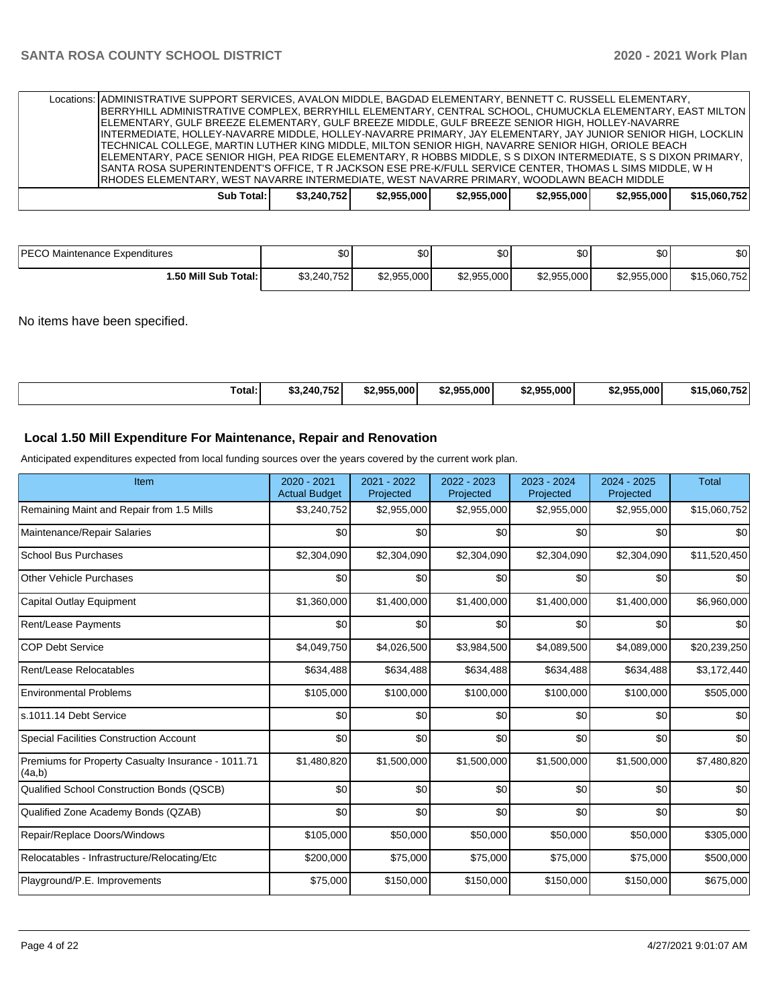| Locations: ADMINISTRATIVE SUPPORT SERVICES, AVALON MIDDLE, BAGDAD ELEMENTARY, BENNETT C. RUSSELL ELEMENTARY,<br>BERRYHILL ADMINISTRATIVE COMPLEX, BERRYHILL ELEMENTARY, CENTRAL SCHOOL, CHUMUCKLA ELEMENTARY, EAST MILTON  <br>IELEMENTARY. GULF BREEZE ELEMENTARY. GULF BREEZE MIDDLE. GULF BREEZE SENIOR HIGH. HOLLEY-NAVARRE<br>INTERMEDIATE, HOLLEY-NAVARRE MIDDLE, HOLLEY-NAVARRE PRIMARY, JAY ELEMENTARY, JAY JUNIOR SENIOR HIGH, LOCKLIN<br>TECHNICAL COLLEGE, MARTIN LUTHER KING MIDDLE, MILTON SENIOR HIGH, NAVARRE SENIOR HIGH, ORIOLE BEACH<br> ELEMENTARY, PACE SENIOR HIGH, PEA RIDGE ELEMENTARY, R HOBBS MIDDLE, S S DIXON INTERMEDIATE, S S DIXON PRIMARY,<br>SANTA ROSA SUPERINTENDENT'S OFFICE. T R JACKSON ESE PRE-K/FULL SERVICE CENTER, THOMAS L SIMS MIDDLE, W H |             |             |             |             |             |              |
|---------------------------------------------------------------------------------------------------------------------------------------------------------------------------------------------------------------------------------------------------------------------------------------------------------------------------------------------------------------------------------------------------------------------------------------------------------------------------------------------------------------------------------------------------------------------------------------------------------------------------------------------------------------------------------------------------------------------------------------------------------------------------------------|-------------|-------------|-------------|-------------|-------------|--------------|
| IRHODES ELEMENTARY. WEST NAVARRE INTERMEDIATE. WEST NAVARRE PRIMARY. WOODLAWN BEACH MIDDLE                                                                                                                                                                                                                                                                                                                                                                                                                                                                                                                                                                                                                                                                                            |             |             |             |             |             |              |
| Sub Total:                                                                                                                                                                                                                                                                                                                                                                                                                                                                                                                                                                                                                                                                                                                                                                            | \$3,240,752 | \$2,955,000 | \$2.955.000 | \$2.955.000 | \$2,955,000 | \$15,060,752 |

| <b>IPECC.</b><br>Maintenance Expenditures | ሖጣ<br>Ψ     | ሖ<br>æи     | ሰሰ<br>ມປ    | \$0         | ሶሳ<br>ມບ    | \$0          |
|-------------------------------------------|-------------|-------------|-------------|-------------|-------------|--------------|
| 1.50 Mill Sub Total: İ                    | \$3,240,752 | \$2,955,000 | \$2,955,000 | \$2,955,000 | \$2,955,000 | \$15,060,752 |

No items have been specified.

| Total: | \$3,240,752 | \$2.955.000 | \$2.955.000 | ¢2 Q55<br>\$2.955.000 | \$2,955,000 | \$15.060.752 |
|--------|-------------|-------------|-------------|-----------------------|-------------|--------------|
|--------|-------------|-------------|-------------|-----------------------|-------------|--------------|

## **Local 1.50 Mill Expenditure For Maintenance, Repair and Renovation**

Anticipated expenditures expected from local funding sources over the years covered by the current work plan.

| Item                                                         | 2020 - 2021<br><b>Actual Budget</b> | 2021 - 2022<br>Projected | 2022 - 2023<br>Projected | 2023 - 2024<br>Projected | 2024 - 2025<br>Projected | <b>Total</b> |
|--------------------------------------------------------------|-------------------------------------|--------------------------|--------------------------|--------------------------|--------------------------|--------------|
| Remaining Maint and Repair from 1.5 Mills                    | \$3,240,752                         | \$2,955,000              | \$2,955,000              | \$2,955,000              | \$2,955,000              | \$15,060,752 |
| Maintenance/Repair Salaries                                  | \$0                                 | \$0                      | \$0                      | \$0                      | \$0                      | \$0          |
| <b>School Bus Purchases</b>                                  | \$2,304,090                         | \$2,304,090              | \$2,304,090              | \$2,304,090              | \$2,304,090              | \$11,520,450 |
| <b>Other Vehicle Purchases</b>                               | \$0                                 | \$0                      | \$0                      | \$0                      | \$0                      | \$0          |
| <b>Capital Outlay Equipment</b>                              | \$1,360,000                         | \$1,400,000              | \$1,400,000              | \$1,400,000              | \$1,400,000              | \$6,960,000  |
| Rent/Lease Payments                                          | \$0                                 | \$0                      | \$0                      | \$0                      | \$0                      | \$0          |
| <b>COP Debt Service</b>                                      | \$4,049,750                         | \$4,026,500              | \$3,984,500              | \$4,089,500              | \$4,089,000              | \$20,239,250 |
| Rent/Lease Relocatables                                      | \$634,488                           | \$634,488                | \$634,488                | \$634,488                | \$634,488                | \$3,172,440  |
| <b>Environmental Problems</b>                                | \$105,000                           | \$100,000                | \$100,000                | \$100,000                | \$100,000                | \$505,000    |
| s.1011.14 Debt Service                                       | \$0                                 | \$0                      | \$0                      | \$0                      | \$0                      | \$0          |
| <b>Special Facilities Construction Account</b>               | \$0                                 | \$0                      | \$0                      | \$0                      | \$0                      | \$0          |
| Premiums for Property Casualty Insurance - 1011.71<br>(4a,b) | \$1,480,820                         | \$1,500,000              | \$1,500,000              | \$1,500,000              | \$1,500,000              | \$7,480,820  |
| Qualified School Construction Bonds (QSCB)                   | \$0                                 | \$0                      | \$0                      | \$0                      | \$0                      | \$0          |
| Qualified Zone Academy Bonds (QZAB)                          | \$0                                 | \$0                      | \$0                      | \$0                      | \$0                      | \$0          |
| Repair/Replace Doors/Windows                                 | \$105,000                           | \$50,000                 | \$50,000                 | \$50,000                 | \$50,000                 | \$305,000    |
| Relocatables - Infrastructure/Relocating/Etc                 | \$200,000                           | \$75,000                 | \$75,000                 | \$75,000                 | \$75,000                 | \$500,000    |
| Playground/P.E. Improvements                                 | \$75,000                            | \$150,000                | \$150,000                | \$150,000                | \$150,000                | \$675,000    |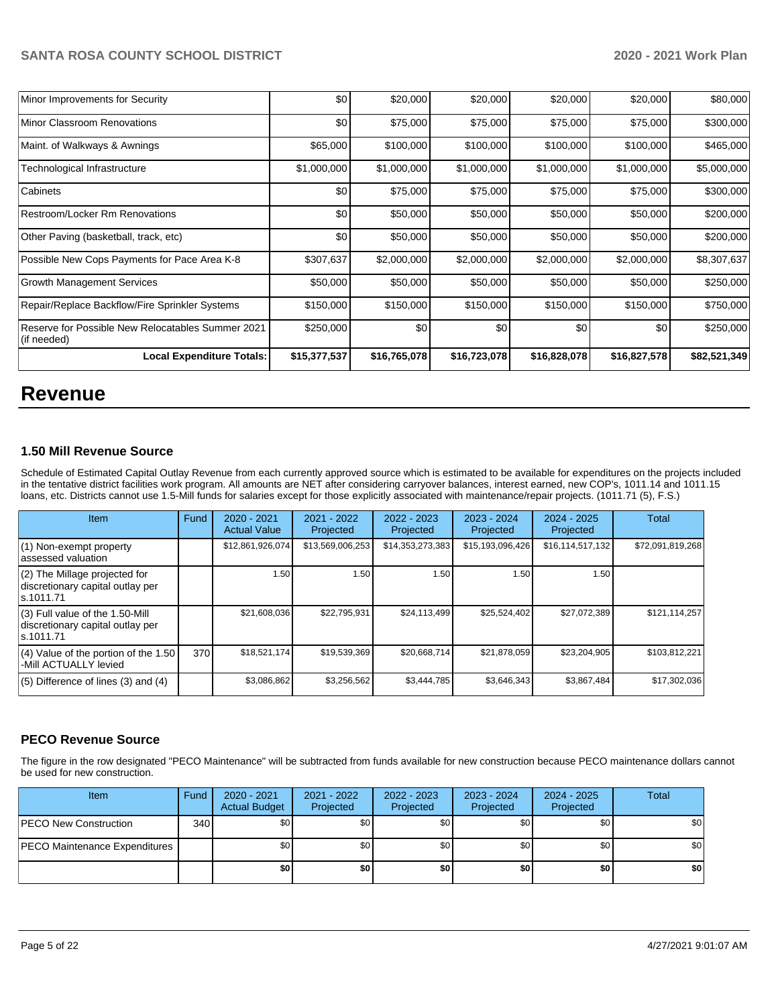| Minor Improvements for Security                                  | \$0          | \$20,000     | \$20,000     | \$20,000     | \$20,000     | \$80,000     |
|------------------------------------------------------------------|--------------|--------------|--------------|--------------|--------------|--------------|
| Minor Classroom Renovations                                      | \$0          | \$75,000     | \$75,000     | \$75,000     | \$75,000     | \$300,000    |
| Maint. of Walkways & Awnings                                     | \$65,000     | \$100,000    | \$100,000    | \$100,000    | \$100,000    | \$465,000    |
| Technological Infrastructure                                     | \$1,000,000  | \$1,000,000  | \$1,000,000  | \$1,000,000  | \$1,000,000  | \$5,000,000  |
| Cabinets                                                         | \$0          | \$75,000     | \$75,000     | \$75,000     | \$75,000     | \$300,000    |
| Restroom/Locker Rm Renovations                                   | \$0          | \$50,000     | \$50,000     | \$50,000     | \$50,000     | \$200,000    |
| Other Paving (basketball, track, etc)                            | \$0          | \$50,000     | \$50,000     | \$50,000     | \$50,000     | \$200,000    |
| Possible New Cops Payments for Pace Area K-8                     | \$307,637    | \$2,000,000  | \$2,000,000  | \$2,000,000  | \$2,000,000  | \$8,307,637  |
| <b>Growth Management Services</b>                                | \$50,000     | \$50,000     | \$50,000     | \$50,000     | \$50,000     | \$250,000    |
| Repair/Replace Backflow/Fire Sprinkler Systems                   | \$150,000    | \$150,000    | \$150,000    | \$150,000    | \$150,000    | \$750,000    |
| Reserve for Possible New Relocatables Summer 2021<br>(if needed) | \$250,000    | \$0          | \$0          | \$0          | \$0          | \$250,000    |
| <b>Local Expenditure Totals:</b>                                 | \$15,377,537 | \$16,765,078 | \$16,723,078 | \$16,828,078 | \$16,827,578 | \$82,521,349 |

# **Revenue**

## **1.50 Mill Revenue Source**

Schedule of Estimated Capital Outlay Revenue from each currently approved source which is estimated to be available for expenditures on the projects included in the tentative district facilities work program. All amounts are NET after considering carryover balances, interest earned, new COP's, 1011.14 and 1011.15 loans, etc. Districts cannot use 1.5-Mill funds for salaries except for those explicitly associated with maintenance/repair projects. (1011.71 (5), F.S.)

| Item                                                                                | Fund | $2020 - 2021$<br><b>Actual Value</b> | 2021 - 2022<br>Projected | $2022 - 2023$<br>Projected | $2023 - 2024$<br>Projected | 2024 - 2025<br>Projected | <b>Total</b>     |
|-------------------------------------------------------------------------------------|------|--------------------------------------|--------------------------|----------------------------|----------------------------|--------------------------|------------------|
| $(1)$ Non-exempt property<br>lassessed valuation                                    |      | \$12,861,926,074                     | \$13,569,006,253         | \$14,353,273,383           | \$15,193,096,426           | \$16,114,517,132         | \$72,091,819,268 |
| $(2)$ The Millage projected for<br>discretionary capital outlay per<br>ls.1011.71   |      | 1.50                                 | 1.50                     | 1.50                       | 1.50                       | 1.50                     |                  |
| $(3)$ Full value of the 1.50-Mill<br>discretionary capital outlay per<br>ls.1011.71 |      | \$21,608,036                         | \$22,795,931             | \$24,113,499               | \$25,524,402               | \$27,072,389             | \$121,114,257    |
| $(4)$ Value of the portion of the 1.50<br>-Mill ACTUALLY levied                     | 370  | \$18,521,174                         | \$19,539,369             | \$20,668,714               | \$21,878,059               | \$23,204,905             | \$103,812,221    |
| $(5)$ Difference of lines $(3)$ and $(4)$                                           |      | \$3,086,862                          | \$3,256,562              | \$3,444,785                | \$3,646,343                | \$3,867,484              | \$17,302,036     |

## **PECO Revenue Source**

The figure in the row designated "PECO Maintenance" will be subtracted from funds available for new construction because PECO maintenance dollars cannot be used for new construction.

| <b>Item</b>                          | Fund             | 2020 - 2021<br><b>Actual Budget</b> | 2021 - 2022<br>Projected | 2022 - 2023<br>Projected | 2023 - 2024<br>Projected | 2024 - 2025<br>Projected | Total            |
|--------------------------------------|------------------|-------------------------------------|--------------------------|--------------------------|--------------------------|--------------------------|------------------|
| <b>PECO New Construction</b>         | 340 <sup>1</sup> | \$0 <sub>1</sub>                    | \$0 <sub>1</sub>         | \$0                      | \$0 <sub>1</sub>         | \$0                      | \$0              |
| <b>PECO Maintenance Expenditures</b> |                  | \$0                                 | \$0 <sub>1</sub>         | \$0                      | \$0 <sub>1</sub>         | \$0                      | \$0 <sub>1</sub> |
|                                      |                  | \$0                                 | \$0                      | \$0                      | \$0                      | \$0                      | \$0              |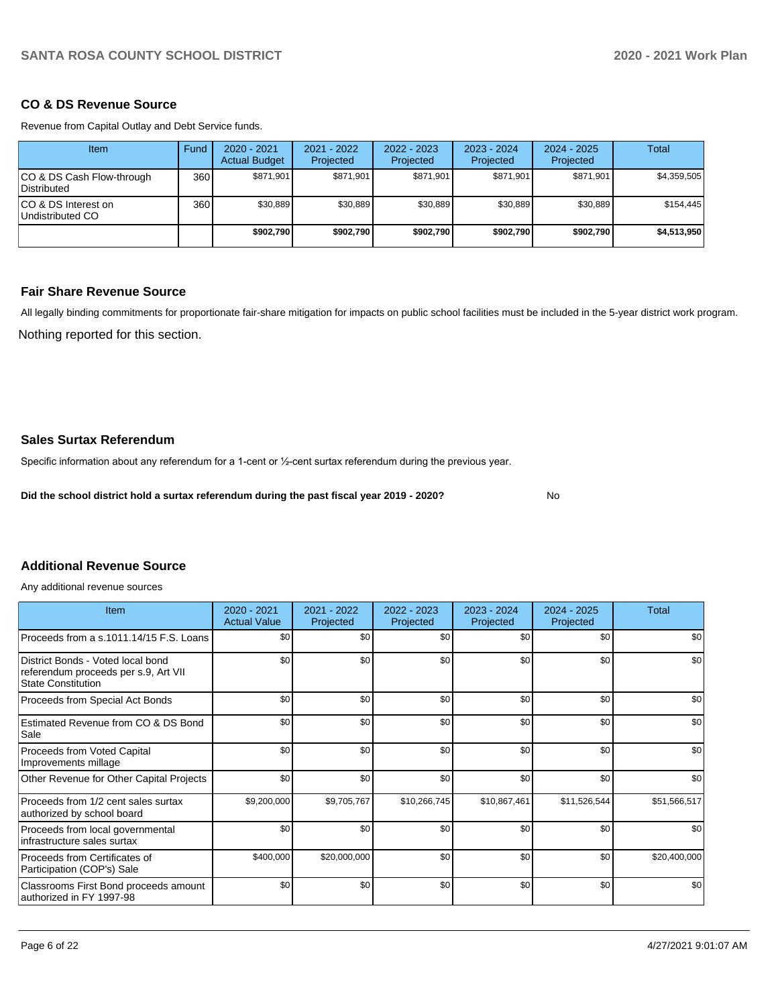## **CO & DS Revenue Source**

Revenue from Capital Outlay and Debt Service funds.

| Item                                            | Fund | $2020 - 2021$<br><b>Actual Budget</b> | $2021 - 2022$<br>Projected | $2022 - 2023$<br>Projected | $2023 - 2024$<br>Projected | $2024 - 2025$<br>Projected | Total       |
|-------------------------------------------------|------|---------------------------------------|----------------------------|----------------------------|----------------------------|----------------------------|-------------|
| CO & DS Cash Flow-through<br><b>Distributed</b> | 360  | \$871,901                             | \$871,901                  | \$871,901                  | \$871.901                  | \$871.901                  | \$4,359,505 |
| CO & DS Interest on<br>Undistributed CO         | 360  | \$30,889                              | \$30.889                   | \$30.889                   | \$30,889                   | \$30.889                   | \$154,445   |
|                                                 |      | \$902,790                             | \$902.790                  | \$902.790                  | \$902.790                  | \$902,790                  | \$4,513,950 |

## **Fair Share Revenue Source**

All legally binding commitments for proportionate fair-share mitigation for impacts on public school facilities must be included in the 5-year district work program.

Nothing reported for this section.

## **Sales Surtax Referendum**

Specific information about any referendum for a 1-cent or ½-cent surtax referendum during the previous year.

**Did the school district hold a surtax referendum during the past fiscal year 2019 - 2020?**

No

# **Additional Revenue Source**

Any additional revenue sources

| <b>Item</b>                                                                                            | $2020 - 2021$<br><b>Actual Value</b> | 2021 - 2022<br>Projected | 2022 - 2023<br>Projected | $2023 - 2024$<br>Projected | $2024 - 2025$<br>Projected | Total        |
|--------------------------------------------------------------------------------------------------------|--------------------------------------|--------------------------|--------------------------|----------------------------|----------------------------|--------------|
| Proceeds from a s.1011.14/15 F.S. Loans                                                                | \$0                                  | \$0                      | \$0                      | \$0                        | \$0                        | \$0          |
| District Bonds - Voted local bond<br>referendum proceeds per s.9, Art VII<br><b>State Constitution</b> | \$0                                  | \$0                      | \$0                      | \$0                        | \$0                        | \$0          |
| Proceeds from Special Act Bonds                                                                        | \$0                                  | \$0                      | \$0                      | \$0                        | \$0                        | \$0          |
| Estimated Revenue from CO & DS Bond<br>Sale                                                            | \$0                                  | \$0                      | \$0                      | \$0                        | \$0                        | \$0          |
| Proceeds from Voted Capital<br>Improvements millage                                                    | \$0                                  | \$0                      | \$0                      | \$0                        | \$0                        | \$0          |
| Other Revenue for Other Capital Projects                                                               | \$0                                  | \$0                      | \$0                      | \$0                        | \$0                        | \$0          |
| Proceeds from 1/2 cent sales surtax<br>authorized by school board                                      | \$9,200,000                          | \$9,705,767              | \$10,266,745             | \$10,867,461               | \$11,526,544               | \$51,566,517 |
| Proceeds from local governmental<br>Infrastructure sales surtax                                        | \$0                                  | \$0                      | \$0                      | \$0                        | \$0                        | \$0          |
| Proceeds from Certificates of<br>Participation (COP's) Sale                                            | \$400,000                            | \$20,000,000             | \$0                      | \$0                        | \$0                        | \$20,400,000 |
| Classrooms First Bond proceeds amount<br>authorized in FY 1997-98                                      | \$0                                  | \$0                      | \$0                      | \$0                        | \$0                        | \$0          |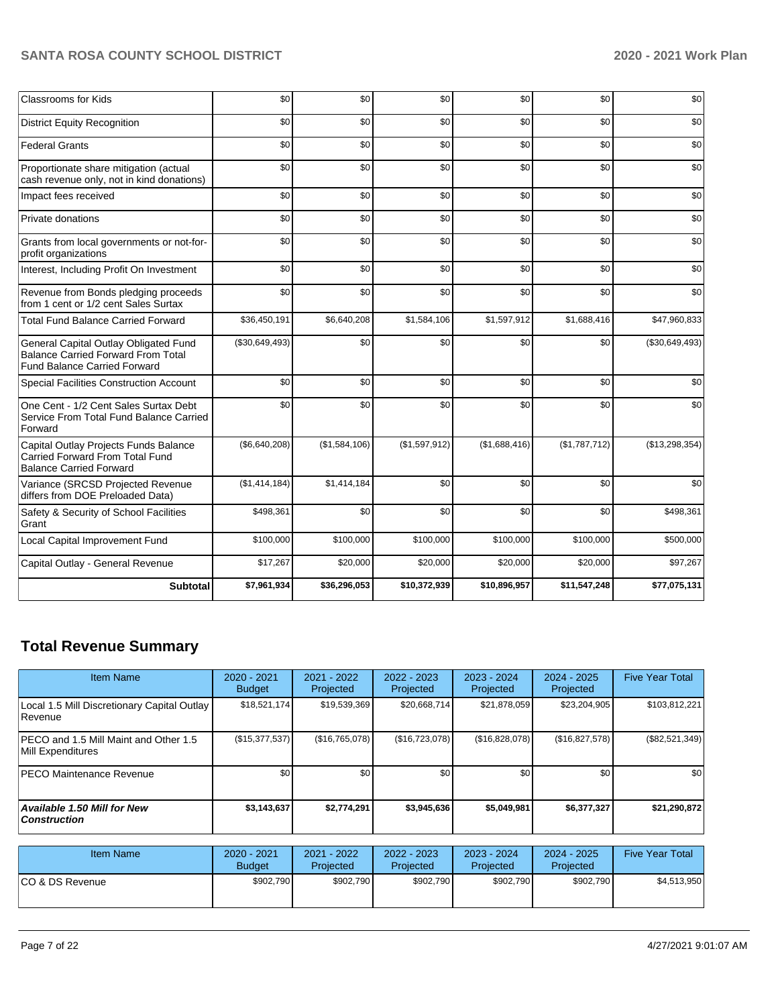| <b>Classrooms for Kids</b>                                                                                                | \$0            | \$0           | \$0           | \$0           | \$0           | \$0            |
|---------------------------------------------------------------------------------------------------------------------------|----------------|---------------|---------------|---------------|---------------|----------------|
| <b>District Equity Recognition</b>                                                                                        | \$0            | \$0           | \$0           | \$0           | \$0           | \$0            |
| <b>Federal Grants</b>                                                                                                     | \$0            | \$0           | \$0           | \$0           | \$0           | \$0            |
| Proportionate share mitigation (actual<br>cash revenue only, not in kind donations)                                       | \$0            | \$0           | \$0           | \$0           | \$0           | \$0            |
| Impact fees received                                                                                                      | \$0            | \$0           | \$0           | \$0           | \$0           | \$0            |
| Private donations                                                                                                         | \$0            | \$0           | \$0           | \$0           | \$0           | \$0            |
| Grants from local governments or not-for-<br>profit organizations                                                         | \$0            | \$0           | \$0           | \$0           | \$0           | \$0            |
| Interest, Including Profit On Investment                                                                                  | \$0            | \$0           | \$0           | \$0           | \$0           | \$0            |
| Revenue from Bonds pledging proceeds<br>from 1 cent or 1/2 cent Sales Surtax                                              | \$0            | \$0           | \$0           | \$0           | \$0           | \$0            |
| <b>Total Fund Balance Carried Forward</b>                                                                                 | \$36,450,191   | \$6,640,208   | \$1,584,106   | \$1,597,912   | \$1,688,416   | \$47,960,833   |
| General Capital Outlay Obligated Fund<br><b>Balance Carried Forward From Total</b><br><b>Fund Balance Carried Forward</b> | (\$30,649,493) | \$0           | \$0           | \$0           | \$0           | (\$30,649,493) |
| Special Facilities Construction Account                                                                                   | \$0            | \$0           | \$0           | \$0           | \$0           | \$0            |
| One Cent - 1/2 Cent Sales Surtax Debt<br>Service From Total Fund Balance Carried<br>Forward                               | \$0            | \$0           | \$0           | \$0           | \$0           | \$0            |
| Capital Outlay Projects Funds Balance<br><b>Carried Forward From Total Fund</b><br><b>Balance Carried Forward</b>         | (\$6,640,208)  | (\$1,584,106) | (\$1,597,912) | (\$1,688,416) | (\$1,787,712) | (\$13,298,354) |
| Variance (SRCSD Projected Revenue<br>differs from DOE Preloaded Data)                                                     | (\$1,414,184)  | \$1,414,184   | \$0           | \$0           | \$0           | \$0            |
| Safety & Security of School Facilities<br>Grant                                                                           | \$498,361      | \$0           | \$0           | \$0           | \$0           | \$498,361      |
| Local Capital Improvement Fund                                                                                            | \$100,000      | \$100,000     | \$100,000     | \$100,000     | \$100,000     | \$500,000      |
| Capital Outlay - General Revenue                                                                                          | \$17,267       | \$20,000      | \$20,000      | \$20,000      | \$20,000      | \$97,267       |
| <b>Subtotal</b>                                                                                                           | \$7,961,934    | \$36,296,053  | \$10,372,939  | \$10,896,957  | \$11,547,248  | \$77,075,131   |

# **Total Revenue Summary**

| <b>Item Name</b>                                           | $2020 - 2021$<br><b>Budget</b> | 2021 - 2022<br>Projected | $2022 - 2023$<br>Projected | $2023 - 2024$<br>Projected | $2024 - 2025$<br>Projected | <b>Five Year Total</b> |
|------------------------------------------------------------|--------------------------------|--------------------------|----------------------------|----------------------------|----------------------------|------------------------|
| Local 1.5 Mill Discretionary Capital Outlay<br> Revenue    | \$18,521,174                   | \$19,539,369             | \$20,668,714               | \$21,878,059               | \$23,204,905               | \$103,812,221          |
| PECO and 1.5 Mill Maint and Other 1.5<br>Mill Expenditures | (\$15,377,537)                 | (S16, 765, 078)          | (\$16,723,078)             | (\$16,828,078)             | (\$16,827,578)             | $(\$82,521,349)$       |
| <b>PECO Maintenance Revenue</b>                            | \$0                            | \$0                      | \$0                        | \$0                        | \$0                        | \$0                    |
| Available 1.50 Mill for New<br><b>Construction</b>         | \$3,143,637                    | \$2,774,291              | \$3.945.636                | \$5,049,981                | \$6,377,327                | \$21,290,872           |

| Item Name        | 2020 - 2021<br><b>Budget</b> | 2021 - 2022<br><b>Projected</b> | $2022 - 2023$<br>Projected | 2023 - 2024<br>Projected | $2024 - 2025$<br>Projected | <b>Five Year Total</b> |
|------------------|------------------------------|---------------------------------|----------------------------|--------------------------|----------------------------|------------------------|
| ICO & DS Revenue | \$902,790                    | \$902,790                       | \$902.790                  | \$902,790                | \$902,790                  | \$4,513,950            |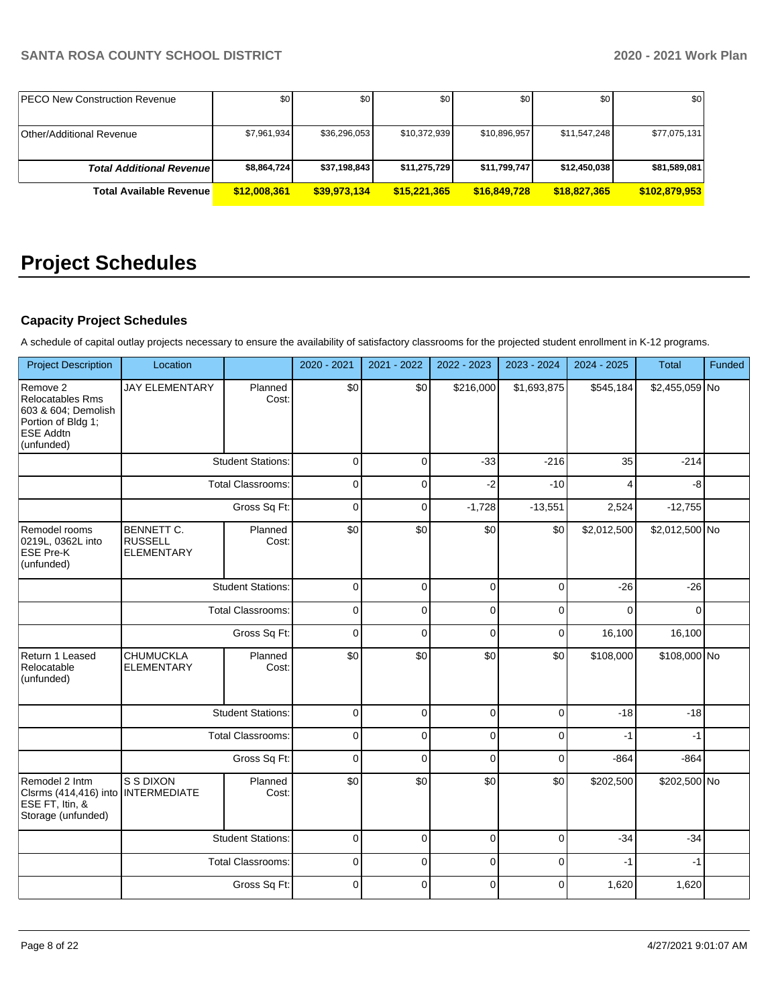| <b>IPECO New Construction Revenue</b> | \$0          | \$0          | \$0          | \$0          | \$0          | \$0           |
|---------------------------------------|--------------|--------------|--------------|--------------|--------------|---------------|
|                                       |              |              |              |              |              |               |
| <b>Other/Additional Revenue</b>       | \$7.961.934  | \$36,296,053 | \$10,372,939 | \$10.896.957 | \$11,547,248 | \$77,075,131  |
|                                       |              |              |              |              |              |               |
| <b>Total Additional Revenuel</b>      | \$8,864,724  | \$37,198,843 | \$11,275,729 | \$11,799,747 | \$12,450,038 | \$81,589,081  |
| <b>Total Available Revenue</b>        | \$12,008,361 | \$39,973,134 | \$15,221,365 | \$16,849,728 | \$18.827.365 | \$102,879,953 |

# **Project Schedules**

# **Capacity Project Schedules**

A schedule of capital outlay projects necessary to ensure the availability of satisfactory classrooms for the projected student enrollment in K-12 programs.

| <b>Project Description</b>                                                                                  | Location                                                             |                          | 2020 - 2021 | 2021 - 2022    | 2022 - 2023 | 2023 - 2024 | 2024 - 2025 | <b>Total</b>   | Funded |
|-------------------------------------------------------------------------------------------------------------|----------------------------------------------------------------------|--------------------------|-------------|----------------|-------------|-------------|-------------|----------------|--------|
| Remove 2<br>Relocatables Rms<br>603 & 604; Demolish<br>Portion of Bldg 1;<br><b>ESE Addtn</b><br>(unfunded) | <b>JAY ELEMENTARY</b>                                                | Planned<br>Cost:         | \$0         | \$0            | \$216,000   | \$1,693,875 | \$545,184   | \$2,455,059 No |        |
|                                                                                                             |                                                                      | <b>Student Stations:</b> | $\mathbf 0$ | $\mathbf 0$    | $-33$       | $-216$      | 35          | $-214$         |        |
|                                                                                                             |                                                                      | <b>Total Classrooms:</b> | $\mathbf 0$ | $\overline{0}$ | $-2$        | $-10$       | 4           | $-8$           |        |
|                                                                                                             |                                                                      | Gross Sq Ft:             | $\mathbf 0$ | $\mathbf 0$    | $-1,728$    | $-13,551$   | 2,524       | $-12,755$      |        |
| Remodel rooms<br>0219L, 0362L into<br><b>ESE Pre-K</b><br>(unfunded)                                        | BENNETT C.<br><b>RUSSELL</b><br><b>ELEMENTARY</b>                    | Planned<br>Cost:         | \$0         | \$0            | \$0         | \$0         | \$2,012,500 | \$2,012,500 No |        |
|                                                                                                             | <b>Student Stations:</b><br><b>Total Classrooms:</b><br>Gross Sq Ft: |                          | $\mathbf 0$ | $\Omega$       | $\Omega$    | $\Omega$    | $-26$       | $-26$          |        |
|                                                                                                             |                                                                      |                          | $\mathbf 0$ | $\overline{0}$ | $\mathbf 0$ | $\Omega$    | $\Omega$    | $\Omega$       |        |
|                                                                                                             |                                                                      |                          | $\mathbf 0$ | $\mathbf 0$    | $\mathbf 0$ | 0           | 16,100      | 16,100         |        |
| Return 1 Leased<br>Relocatable<br>(unfunded)                                                                | <b>CHUMUCKLA</b><br><b>ELEMENTARY</b>                                | Planned<br>Cost:         | \$0         | \$0            | \$0         | \$0         | \$108,000   | \$108,000 No   |        |
|                                                                                                             |                                                                      | <b>Student Stations:</b> | $\mathbf 0$ | $\mathbf 0$    | $\mathbf 0$ | 0           | $-18$       | $-18$          |        |
|                                                                                                             |                                                                      | <b>Total Classrooms:</b> | $\mathbf 0$ | $\mathbf 0$    | $\mathbf 0$ | 0           | $-1$        | $-1$           |        |
|                                                                                                             |                                                                      | Gross Sq Ft:             | $\mathbf 0$ | $\mathbf 0$    | $\mathbf 0$ | $\mathbf 0$ | $-864$      | $-864$         |        |
| Remodel 2 Intm<br>Clsrms (414,416) into<br>ESE FT, Itin, &<br>Storage (unfunded)                            | S S DIXON<br><b>INTERMEDIATE</b>                                     | Planned<br>Cost:         | \$0         | \$0            | \$0         | \$0         | \$202,500   | \$202,500 No   |        |
|                                                                                                             |                                                                      | <b>Student Stations:</b> | $\mathbf 0$ | $\Omega$       | $\mathbf 0$ | $\Omega$    | $-34$       | $-34$          |        |
|                                                                                                             |                                                                      | <b>Total Classrooms:</b> | $\pmb{0}$   | $\mathbf 0$    | $\mathbf 0$ | 0           | $-1$        | $-1$           |        |
|                                                                                                             |                                                                      | Gross Sq Ft:             | $\mathbf 0$ | 0              | $\mathbf 0$ | 0           | 1,620       | 1,620          |        |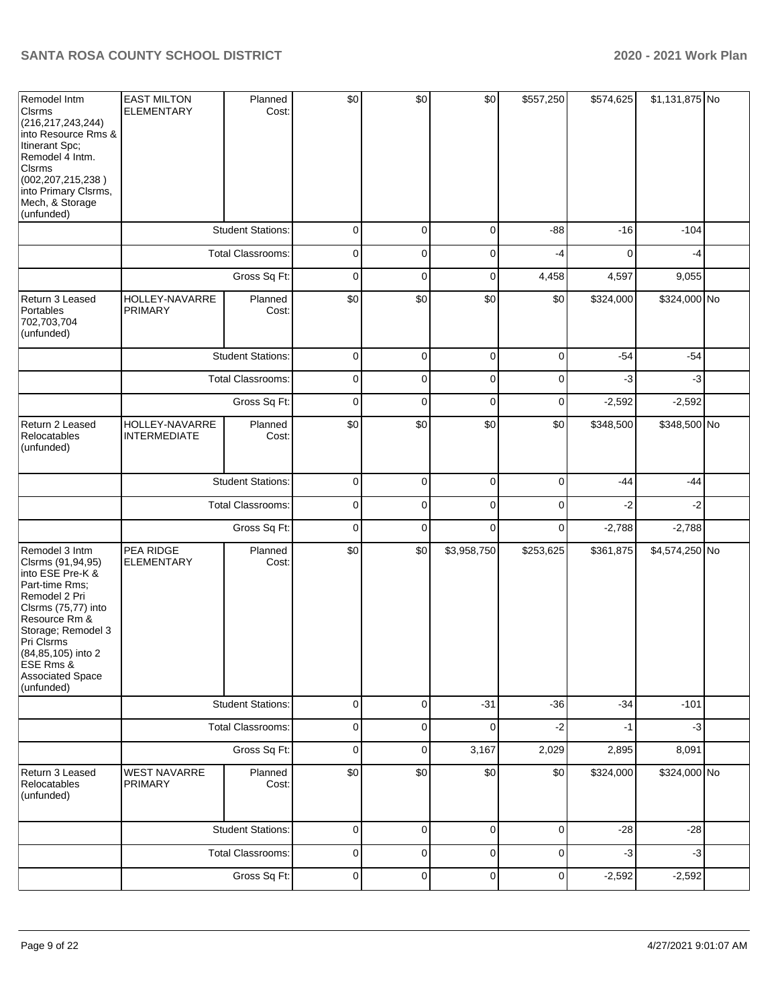| Remodel Intm<br><b>Clsrms</b><br>(216, 217, 243, 244)<br>into Resource Rms &<br>Itinerant Spc;<br>Remodel 4 Intm.<br><b>Clsrms</b><br>(002, 207, 215, 238)<br>into Primary Clsrms,<br>Mech, & Storage<br>(unfunded)                                | <b>EAST MILTON</b><br><b>ELEMENTARY</b> | Planned<br>Cost:         | \$0         | \$0         | \$0         | \$557,250   | \$574,625 | \$1,131,875 No |  |
|----------------------------------------------------------------------------------------------------------------------------------------------------------------------------------------------------------------------------------------------------|-----------------------------------------|--------------------------|-------------|-------------|-------------|-------------|-----------|----------------|--|
|                                                                                                                                                                                                                                                    |                                         | <b>Student Stations:</b> | 0           | 0           | 0           | $-88$       | $-16$     | $-104$         |  |
|                                                                                                                                                                                                                                                    |                                         | Total Classrooms:        | 0           | 0           | 0           | -4          | $\Omega$  | -4             |  |
|                                                                                                                                                                                                                                                    |                                         | Gross Sq Ft:             | 0           | 0           | 0           | 4,458       | 4,597     | 9,055          |  |
| Return 3 Leased<br>Portables<br>702,703,704<br>(unfunded)                                                                                                                                                                                          | HOLLEY-NAVARRE<br><b>PRIMARY</b>        | Planned<br>Cost:         | \$0         | \$0         | \$0         | \$0         | \$324,000 | \$324,000 No   |  |
|                                                                                                                                                                                                                                                    |                                         | <b>Student Stations:</b> | $\pmb{0}$   | $\mathbf 0$ | $\mathbf 0$ | $\Omega$    | $-54$     | $-54$          |  |
|                                                                                                                                                                                                                                                    |                                         | Total Classrooms:        | $\pmb{0}$   | 0           | 0           | $\Omega$    | -3        | $-3$           |  |
|                                                                                                                                                                                                                                                    |                                         | Gross Sq Ft:             | $\mathbf 0$ | $\mathbf 0$ | $\mathbf 0$ | $\mathbf 0$ | $-2,592$  | $-2,592$       |  |
| Return 2 Leased<br>Relocatables<br>(unfunded)                                                                                                                                                                                                      | HOLLEY-NAVARRE<br><b>INTERMEDIATE</b>   | Planned<br>Cost:         | \$0         | \$0         | \$0         | \$0         | \$348,500 | \$348,500 No   |  |
|                                                                                                                                                                                                                                                    |                                         | <b>Student Stations:</b> | 0           | 0           | 0           | $\Omega$    | $-44$     | $-44$          |  |
|                                                                                                                                                                                                                                                    |                                         | Total Classrooms:        | 0           | 0           | 0           | 0           | -2        | $-2$           |  |
|                                                                                                                                                                                                                                                    |                                         | Gross Sq Ft:             | 0           | 0           | 0           | 0           | $-2,788$  | $-2,788$       |  |
| Remodel 3 Intm<br>Clsrms (91,94,95)<br>into ESE Pre-K &<br>Part-time Rms;<br>Remodel 2 Pri<br>Clsrms (75,77) into<br>Resource Rm &<br>Storage; Remodel 3<br>Pri Clsrms<br>(84,85,105) into 2<br>ESE Rms &<br><b>Associated Space</b><br>(unfunded) | PEA RIDGE<br><b>ELEMENTARY</b>          | Planned<br>Cost:         | \$0         | \$0         | \$3,958,750 | \$253,625   | \$361,875 | \$4,574,250 No |  |
|                                                                                                                                                                                                                                                    |                                         | <b>Student Stations:</b> | $\pmb{0}$   | 0           | $-31$       | $-36$       | $-34$     | $-101$         |  |
|                                                                                                                                                                                                                                                    |                                         | Total Classrooms:        | $\pmb{0}$   | 0           | 0           | $-2$        | $-1$      | $-3$           |  |
|                                                                                                                                                                                                                                                    |                                         | Gross Sq Ft:             | $\mathbf 0$ | 0           | 3,167       | 2,029       | 2,895     | 8,091          |  |
| Return 3 Leased<br>Relocatables<br>(unfunded)                                                                                                                                                                                                      | <b>WEST NAVARRE</b><br><b>PRIMARY</b>   | Planned<br>Cost:         | \$0         | \$0         | \$0         | \$0         | \$324,000 | \$324,000 No   |  |
|                                                                                                                                                                                                                                                    |                                         | <b>Student Stations:</b> | $\mathbf 0$ | 0           | $\mathbf 0$ | 0           | $-28$     | $-28$          |  |
|                                                                                                                                                                                                                                                    |                                         | Total Classrooms:        | 0           | 0           | 0           | 0           | $-3$      | $-3$           |  |
|                                                                                                                                                                                                                                                    |                                         | Gross Sq Ft:             | $\pmb{0}$   | 0           | 0           | 0           | $-2,592$  | $-2,592$       |  |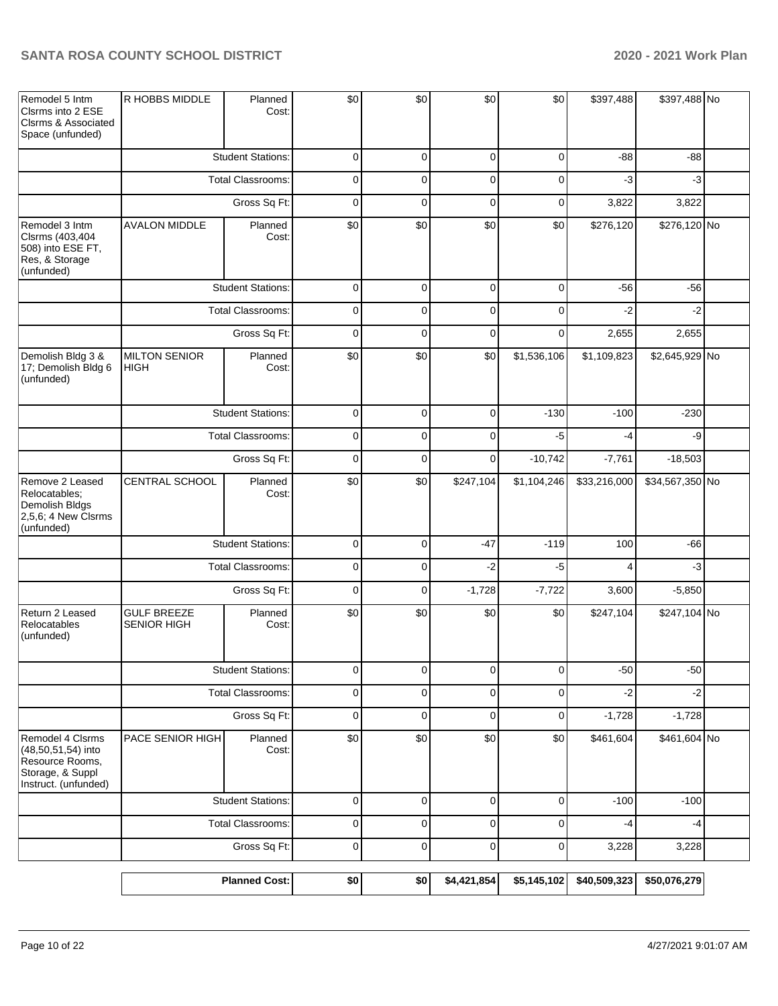| Remodel 5 Intm<br>Clsrms into 2 ESE<br>Clsrms & Associated<br>Space (unfunded)                        | R HOBBS MIDDLE                           | Planned<br>Cost:         | \$0            | \$0            | \$0         | \$0            | \$397,488    | \$397,488 No    |  |
|-------------------------------------------------------------------------------------------------------|------------------------------------------|--------------------------|----------------|----------------|-------------|----------------|--------------|-----------------|--|
|                                                                                                       |                                          | <b>Student Stations:</b> | 0              | $\mathbf 0$    | 0           | 0              | $-88$        | -88             |  |
|                                                                                                       |                                          | <b>Total Classrooms:</b> | 0              | 0              | 0           | 0              | $-3$         | $-3$            |  |
|                                                                                                       |                                          | Gross Sq Ft:             | $\mathbf 0$    | $\mathbf 0$    | $\mathbf 0$ | 0              | 3,822        | 3,822           |  |
| Remodel 3 Intm<br>Clsrms (403,404<br>508) into ESE FT,<br>Res, & Storage<br>(unfunded)                | <b>AVALON MIDDLE</b>                     | Planned<br>Cost:         | \$0            | \$0            | \$0         | \$0            | \$276,120    | \$276,120 No    |  |
|                                                                                                       |                                          | <b>Student Stations:</b> | 0              | $\mathbf 0$    | $\mathbf 0$ | $\mathbf 0$    | $-56$        | $-56$           |  |
|                                                                                                       |                                          | <b>Total Classrooms:</b> | $\pmb{0}$      | $\mathbf 0$    | $\mathbf 0$ | $\mathbf 0$    | $-2$         | $-2$            |  |
|                                                                                                       |                                          | Gross Sq Ft:             | $\mathbf 0$    | $\mathbf 0$    | $\mathbf 0$ | $\mathbf 0$    | 2,655        | 2,655           |  |
| Demolish Bldg 3 &<br>17; Demolish Bldg 6<br>(unfunded)                                                | <b>MILTON SENIOR</b><br><b>HIGH</b>      | Planned<br>Cost:         | \$0            | \$0            | \$0         | \$1,536,106    | \$1,109,823  | \$2,645,929 No  |  |
|                                                                                                       |                                          | <b>Student Stations:</b> | $\pmb{0}$      | $\mathbf 0$    | $\mathbf 0$ | $-130$         | $-100$       | $-230$          |  |
|                                                                                                       |                                          | Total Classrooms:        | 0              | 0              | 0           | $-5$           | $-4$         | -9              |  |
|                                                                                                       | Gross Sq Ft:                             |                          | $\pmb{0}$      | $\mathbf 0$    | $\mathbf 0$ | $-10,742$      | $-7,761$     | $-18,503$       |  |
| Remove 2 Leased<br>Relocatables;<br>Demolish Bldgs<br>$2,5,6$ ; 4 New Clsrms<br>(unfunded)            | CENTRAL SCHOOL                           | Planned<br>Cost:         | \$0            | \$0            | \$247,104   | \$1,104,246    | \$33,216,000 | \$34,567,350 No |  |
|                                                                                                       |                                          | <b>Student Stations:</b> | $\mathbf 0$    | $\mathbf 0$    | $-47$       | $-119$         | 100          | $-66$           |  |
|                                                                                                       |                                          | Total Classrooms:        | $\mathbf 0$    | $\mathbf 0$    | $-2$        | $-5$           | 4            | $-3$            |  |
|                                                                                                       |                                          | Gross Sq Ft:             | $\overline{0}$ | $\mathbf 0$    | $-1,728$    | $-7,722$       | 3,600        | $-5,850$        |  |
| Return 2 Leased<br>Relocatables<br>(unfunded)                                                         | <b>GULF BREEZE</b><br><b>SENIOR HIGH</b> | Planned<br>Cost:         | \$0            | \$0            | \$0         | \$0            | \$247,104    | \$247,104 No    |  |
|                                                                                                       |                                          | <b>Student Stations:</b> | $\overline{0}$ | $\overline{0}$ | $\mathbf 0$ | $\overline{0}$ | $-50$        | $-50$           |  |
|                                                                                                       |                                          | Total Classrooms:        | $\pmb{0}$      | $\mathbf 0$    | $\mathbf 0$ | $\mathbf 0$    | $-2$         | $-2$            |  |
|                                                                                                       |                                          | Gross Sq Ft:             | $\mathbf 0$    | $\mathbf 0$    | $\mathbf 0$ | 0              | $-1,728$     | $-1,728$        |  |
| Remodel 4 Clsrms<br>(48,50,51,54) into<br>Resource Rooms,<br>Storage, & Suppl<br>Instruct. (unfunded) | PACE SENIOR HIGH                         | Planned<br>Cost:         | \$0            | \$0            | \$0         | \$0            | \$461,604    | \$461,604 No    |  |
|                                                                                                       |                                          | <b>Student Stations:</b> | $\pmb{0}$      | $\mathbf 0$    | $\pmb{0}$   | $\mathbf 0$    | $-100$       | $-100$          |  |
|                                                                                                       |                                          | <b>Total Classrooms:</b> | $\pmb{0}$      | $\mathbf 0$    | $\mathbf 0$ | $\mathbf 0$    | $-4$         | $-4$            |  |
|                                                                                                       |                                          | Gross Sq Ft:             | $\mathsf 0$    | $\pmb{0}$      | $\pmb{0}$   | $\pmb{0}$      | 3,228        | 3,228           |  |
|                                                                                                       |                                          | <b>Planned Cost:</b>     | \$0            | \$0            | \$4,421,854 | \$5,145,102    | \$40,509,323 | \$50,076,279    |  |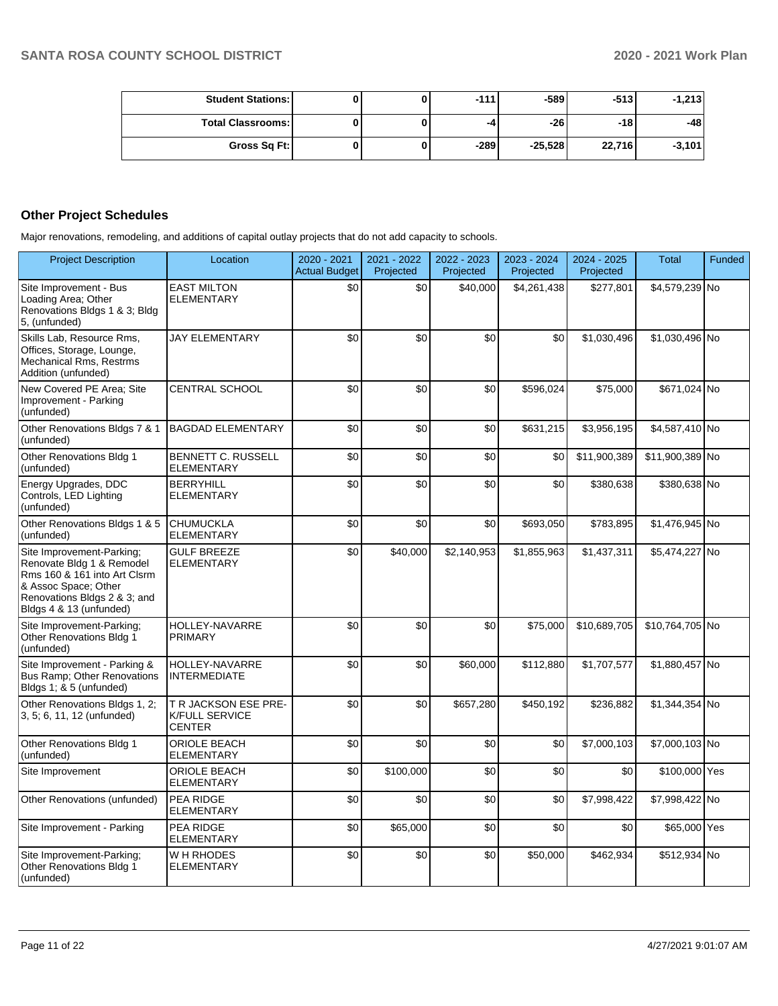| <b>Student Stations:</b> |  | $-111$ | $-589$    | $-5131$ | $-1,213$ |
|--------------------------|--|--------|-----------|---------|----------|
| <b>Total Classrooms:</b> |  | -4     | -261      | $-18$   | -48      |
| Gross Sq Ft:             |  | $-289$ | $-25.528$ | 22,716  | $-3,101$ |

## **Other Project Schedules**

Major renovations, remodeling, and additions of capital outlay projects that do not add capacity to schools.

| <b>Project Description</b>                                                                                                                                                | Location                                                       | 2020 - 2021<br><b>Actual Budget</b> | 2021 - 2022<br>Projected | 2022 - 2023<br>Projected | 2023 - 2024<br>Projected | $2024 - 2025$<br>Projected | <b>Total</b>    | Funded |
|---------------------------------------------------------------------------------------------------------------------------------------------------------------------------|----------------------------------------------------------------|-------------------------------------|--------------------------|--------------------------|--------------------------|----------------------------|-----------------|--------|
| Site Improvement - Bus<br>Loading Area; Other<br>Renovations Bldgs 1 & 3; Bldg<br>5, (unfunded)                                                                           | <b>EAST MILTON</b><br><b>ELEMENTARY</b>                        | \$0                                 | \$0                      | \$40,000                 | \$4,261,438              | \$277,801                  | \$4,579,239 No  |        |
| Skills Lab, Resource Rms,<br>Offices, Storage, Lounge,<br>Mechanical Rms, Restrms<br>Addition (unfunded)                                                                  | <b>JAY ELEMENTARY</b>                                          | \$0                                 | \$0                      | \$0                      | \$0                      | \$1,030,496                | \$1,030,496 No  |        |
| New Covered PE Area; Site<br>Improvement - Parking<br>(unfunded)                                                                                                          | <b>CENTRAL SCHOOL</b>                                          | \$0                                 | \$0                      | \$0                      | \$596,024                | \$75,000                   | \$671,024 No    |        |
| Other Renovations Bldgs 7 & 1<br>(unfunded)                                                                                                                               | <b>BAGDAD ELEMENTARY</b>                                       | \$0                                 | \$0                      | \$0                      | \$631,215                | \$3,956,195                | \$4,587,410 No  |        |
| Other Renovations Bldg 1<br>(unfunded)                                                                                                                                    | BENNETT C. RUSSELL<br><b>ELEMENTARY</b>                        | \$0                                 | \$0                      | \$0                      | \$0                      | \$11,900,389               | \$11,900,389 No |        |
| Energy Upgrades, DDC<br>Controls, LED Lighting<br>(unfunded)                                                                                                              | <b>BERRYHILL</b><br><b>ELEMENTARY</b>                          | \$0                                 | \$0                      | \$0                      | \$0                      | \$380,638                  | \$380,638 No    |        |
| Other Renovations Bldgs 1 & 5<br>(unfunded)                                                                                                                               | <b>CHUMUCKLA</b><br><b>ELEMENTARY</b>                          | \$0                                 | \$0                      | \$0                      | \$693,050                | \$783,895                  | \$1,476,945 No  |        |
| Site Improvement-Parking;<br>Renovate Bldg 1 & Remodel<br>Rms 160 & 161 into Art Clsrm<br>& Assoc Space; Other<br>Renovations Bldgs 2 & 3; and<br>Bldgs 4 & 13 (unfunded) | <b>GULF BREEZE</b><br><b>ELEMENTARY</b>                        | \$0                                 | \$40,000                 | \$2,140,953              | \$1,855,963              | \$1,437,311                | \$5,474,227 No  |        |
| Site Improvement-Parking;<br>Other Renovations Bldg 1<br>(unfunded)                                                                                                       | <b>HOLLEY-NAVARRE</b><br>PRIMARY                               | \$0                                 | \$0                      | \$0                      | \$75,000                 | \$10,689,705               | \$10,764,705 No |        |
| Site Improvement - Parking &<br><b>Bus Ramp: Other Renovations</b><br>Bldgs 1; & 5 (unfunded)                                                                             | <b>HOLLEY-NAVARRE</b><br><b>INTERMEDIATE</b>                   | \$0                                 | \$0                      | \$60,000                 | \$112,880                | \$1,707,577                | \$1,880,457 No  |        |
| Other Renovations Bldgs 1, 2;<br>3, 5; 6, 11, 12 (unfunded)                                                                                                               | T R JACKSON ESE PRE-<br><b>K/FULL SERVICE</b><br><b>CENTER</b> | \$0                                 | \$0                      | \$657,280                | \$450,192                | \$236,882                  | \$1,344,354 No  |        |
| Other Renovations Bldg 1<br>(unfunded)                                                                                                                                    | <b>ORIOLE BEACH</b><br><b>ELEMENTARY</b>                       | \$0                                 | \$0                      | \$0                      | \$0                      | \$7,000,103                | \$7,000,103 No  |        |
| Site Improvement                                                                                                                                                          | <b>ORIOLE BEACH</b><br><b>ELEMENTARY</b>                       | \$0                                 | \$100,000                | \$0                      | \$0                      | \$0                        | \$100,000 Yes   |        |
| Other Renovations (unfunded)                                                                                                                                              | PEA RIDGE<br><b>ELEMENTARY</b>                                 | \$0                                 | \$0                      | \$0                      | \$0                      | \$7,998,422                | \$7,998,422 No  |        |
| Site Improvement - Parking                                                                                                                                                | PEA RIDGE<br><b>ELEMENTARY</b>                                 | \$0                                 | \$65,000                 | \$0                      | \$0                      | \$0                        | \$65,000 Yes    |        |
| Site Improvement-Parking;<br>Other Renovations Bldg 1<br>(unfunded)                                                                                                       | W H RHODES<br><b>ELEMENTARY</b>                                | \$0                                 | \$0                      | \$0                      | \$50,000                 | \$462,934                  | \$512,934 No    |        |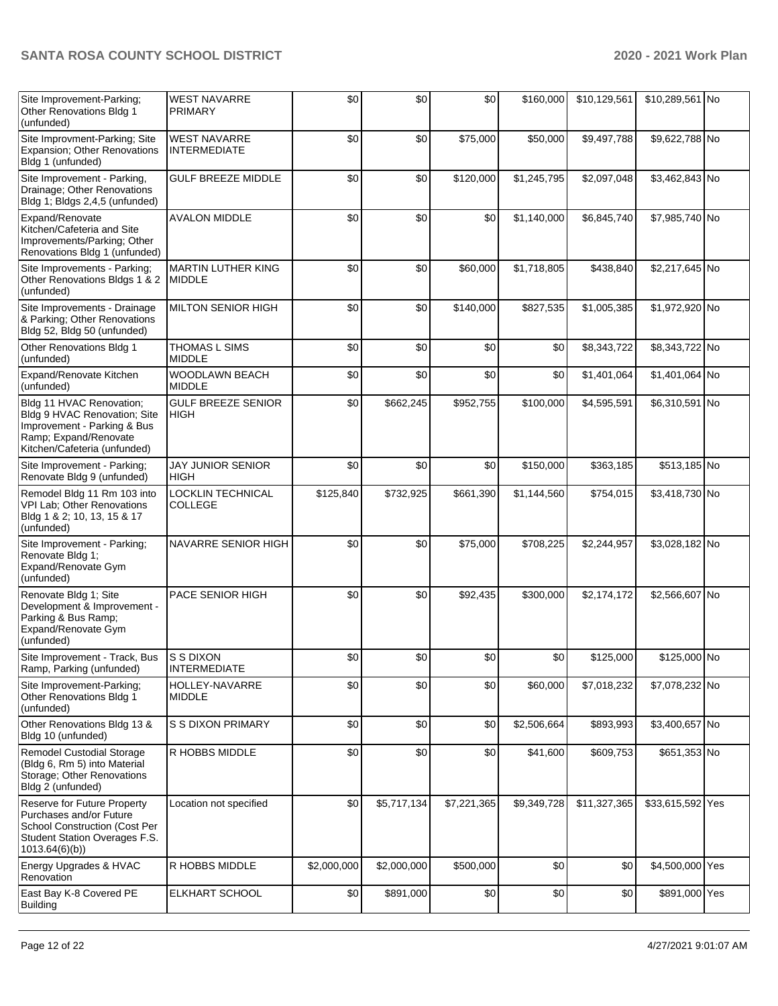| Site Improvement-Parking;<br>Other Renovations Bldg 1<br>(unfunded)                                                                              | <b>WEST NAVARRE</b><br><b>PRIMARY</b>      | \$0         | \$0         | \$0         | \$160,000        | \$10,129,561 | \$10,289,561 No  |  |
|--------------------------------------------------------------------------------------------------------------------------------------------------|--------------------------------------------|-------------|-------------|-------------|------------------|--------------|------------------|--|
| Site Improvment-Parking; Site<br>Expansion; Other Renovations<br>Bldg 1 (unfunded)                                                               | <b>WEST NAVARRE</b><br><b>INTERMEDIATE</b> | \$0         | \$0         | \$75,000    | \$50,000         | \$9,497,788  | \$9,622,788 No   |  |
| Site Improvement - Parking,<br>Drainage; Other Renovations<br>Bldg 1; Bldgs 2,4,5 (unfunded)                                                     | <b>GULF BREEZE MIDDLE</b>                  | \$0         | \$0         | \$120,000   | \$1,245,795      | \$2,097,048  | \$3,462,843 No   |  |
| Expand/Renovate<br>Kitchen/Cafeteria and Site<br>Improvements/Parking; Other<br>Renovations Bldg 1 (unfunded)                                    | <b>AVALON MIDDLE</b>                       | \$0         | \$0         | \$0         | \$1,140,000      | \$6,845,740  | \$7,985,740 No   |  |
| Site Improvements - Parking;<br>Other Renovations Bldgs 1 & 2<br>(unfunded)                                                                      | <b>MARTIN LUTHER KING</b><br><b>MIDDLE</b> | \$0         | \$0         | \$60,000    | \$1,718,805      | \$438,840    | \$2,217,645 No   |  |
| Site Improvements - Drainage<br>& Parking; Other Renovations<br>Bldg 52, Bldg 50 (unfunded)                                                      | <b>MILTON SENIOR HIGH</b>                  | \$0         | \$0         | \$140,000   | \$827,535        | \$1,005,385  | \$1,972,920 No   |  |
| Other Renovations Bldg 1<br>(unfunded)                                                                                                           | <b>THOMAS L SIMS</b><br><b>MIDDLE</b>      | \$0         | \$0         | \$0         | \$0              | \$8,343,722  | \$8,343,722 No   |  |
| Expand/Renovate Kitchen<br>(unfunded)                                                                                                            | WOODLAWN BEACH<br><b>MIDDLE</b>            | \$0         | \$0         | \$0         | \$0              | \$1,401,064  | \$1,401,064 No   |  |
| Bldg 11 HVAC Renovation;<br>Bldg 9 HVAC Renovation; Site<br>Improvement - Parking & Bus<br>Ramp; Expand/Renovate<br>Kitchen/Cafeteria (unfunded) | <b>GULF BREEZE SENIOR</b><br><b>HIGH</b>   | \$0         | \$662,245   | \$952,755   | \$100,000        | \$4,595,591  | \$6,310,591 No   |  |
| Site Improvement - Parking;<br>Renovate Bldg 9 (unfunded)                                                                                        | <b>JAY JUNIOR SENIOR</b><br><b>HIGH</b>    | \$0         | \$0         | \$0         | \$150,000        | \$363,185    | \$513,185 No     |  |
| Remodel Bldg 11 Rm 103 into<br>VPI Lab; Other Renovations<br>Bldg 1 & 2; 10, 13, 15 & 17<br>(unfunded)                                           | LOCKLIN TECHNICAL<br>COLLEGE               | \$125,840   | \$732,925   | \$661,390   | \$1,144,560      | \$754,015    | \$3,418,730 No   |  |
| Site Improvement - Parking;<br>Renovate Bldg 1;<br>Expand/Renovate Gym<br>(unfunded)                                                             | NAVARRE SENIOR HIGH                        | \$0         | \$0         | \$75,000    | \$708,225        | \$2,244,957  | \$3,028,182 No   |  |
| Renovate Bldg 1; Site<br>Development & Improvement -<br>Parking & Bus Ramp;<br>Expand/Renovate Gym<br>(unfunded)                                 | PACE SENIOR HIGH                           | \$0         | \$0         | \$92,435    | \$300,000        | \$2,174,172  | \$2,566,607 No   |  |
| Site Improvement - Track, Bus<br>Ramp, Parking (unfunded)                                                                                        | S S DIXON<br><b>INTERMEDIATE</b>           | \$0         | \$0         | \$0         | \$0 <sub>1</sub> | \$125,000    | \$125,000 No     |  |
| Site Improvement-Parking;<br>Other Renovations Bldg 1<br>(unfunded)                                                                              | HOLLEY-NAVARRE<br><b>MIDDLE</b>            | \$0         | \$0         | \$0         | \$60,000         | \$7,018,232  | \$7,078,232 No   |  |
| Other Renovations Bldg 13 &<br>Bldg 10 (unfunded)                                                                                                | <b>S S DIXON PRIMARY</b>                   | \$0         | \$0         | \$0         | \$2,506,664      | \$893,993    | \$3,400,657 No   |  |
| Remodel Custodial Storage<br>(Bldg 6, Rm 5) into Material<br>Storage; Other Renovations<br>Bldg 2 (unfunded)                                     | R HOBBS MIDDLE                             | \$0         | \$0         | \$0         | \$41,600         | \$609,753    | \$651,353 No     |  |
| Reserve for Future Property<br>Purchases and/or Future<br><b>School Construction (Cost Per</b><br>Student Station Overages F.S.<br>1013.64(6)(b) | Location not specified                     | \$0         | \$5,717,134 | \$7,221,365 | \$9,349,728      | \$11,327,365 | \$33,615,592 Yes |  |
| Energy Upgrades & HVAC<br>Renovation                                                                                                             | R HOBBS MIDDLE                             | \$2,000,000 | \$2,000,000 | \$500,000   | \$0              | \$0          | \$4,500,000 Yes  |  |
| East Bay K-8 Covered PE<br><b>Building</b>                                                                                                       | ELKHART SCHOOL                             | \$0         | \$891,000   | \$0         | \$0              | \$0          | \$891,000 Yes    |  |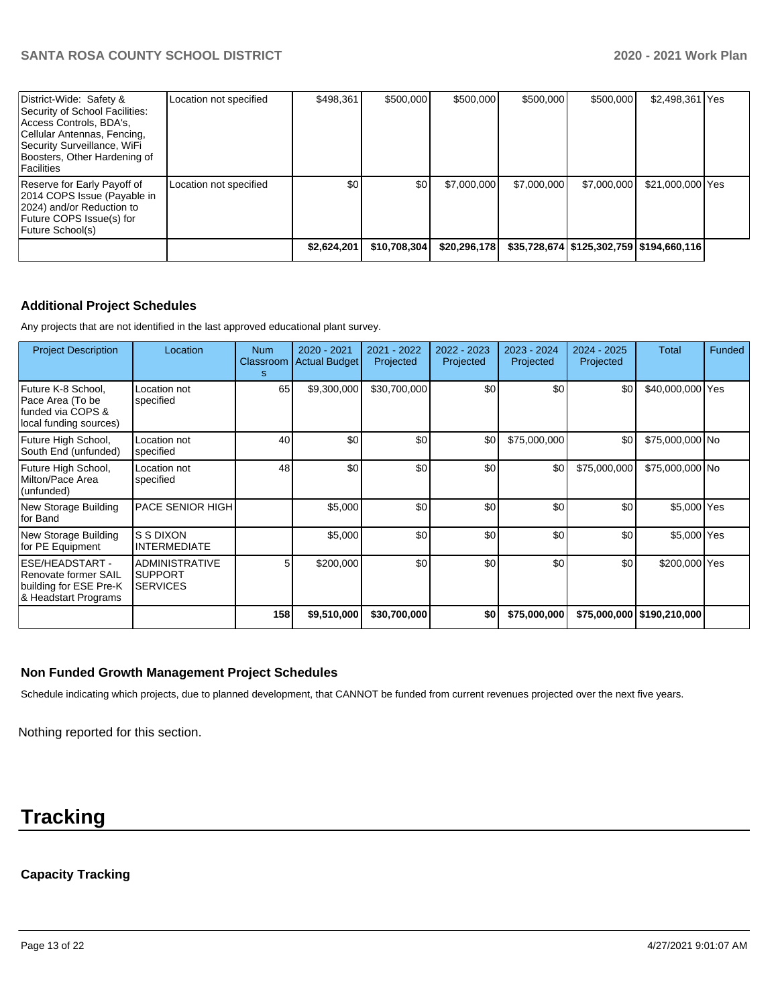| District-Wide: Safety &<br>Security of School Facilities:<br>Access Controls, BDA's,<br>Cellular Antennas, Fencing,<br>Security Surveillance, WiFi<br>Boosters, Other Hardening of<br>l Facilities | Location not specified | \$498.361   | \$500,000    | \$500,000    | \$500.000   | \$500,000                                    | \$2,498,361 Yes  |  |
|----------------------------------------------------------------------------------------------------------------------------------------------------------------------------------------------------|------------------------|-------------|--------------|--------------|-------------|----------------------------------------------|------------------|--|
| Reserve for Early Payoff of<br>2014 COPS Issue (Payable in<br>2024) and/or Reduction to<br>Future COPS Issue(s) for<br>Future School(s)                                                            | Location not specified | \$0         | \$0          | \$7,000,000  | \$7,000,000 | \$7,000,000                                  | \$21,000,000 Yes |  |
|                                                                                                                                                                                                    |                        | \$2,624,201 | \$10,708,304 | \$20,296,178 |             | \$35,728,674   \$125,302,759   \$194,660,116 |                  |  |

# **Additional Project Schedules**

Any projects that are not identified in the last approved educational plant survey.

| <b>Project Description</b>                                                                | Location                                                   | <b>Num</b><br>Classroom<br>s | 2020 - 2021<br><b>Actual Budget</b> | 2021 - 2022<br>Projected | 2022 - 2023<br>Projected | 2023 - 2024<br>Projected | 2024 - 2025<br>Projected | <b>Total</b>                 | <b>Funded</b> |
|-------------------------------------------------------------------------------------------|------------------------------------------------------------|------------------------------|-------------------------------------|--------------------------|--------------------------|--------------------------|--------------------------|------------------------------|---------------|
| Future K-8 School.<br>Pace Area (To be<br>lfunded via COPS &<br>local funding sources)    | Location not<br>specified                                  | 65                           | \$9,300,000                         | \$30,700,000             | \$0                      | \$0                      | \$0                      | \$40,000,000 Yes             |               |
| Future High School,<br>South End (unfunded)                                               | Location not<br>specified                                  | 40                           | \$0                                 | \$0                      | \$0                      | \$75,000,000             | \$0                      | \$75,000,000 No              |               |
| Future High School,<br>Milton/Pace Area<br>(unfunded)                                     | Location not<br>specified                                  | 48                           | \$0                                 | \$0                      | \$0                      | \$0                      | \$75,000,000             | \$75,000,000 No              |               |
| New Storage Building<br>for Band                                                          | PACE SENIOR HIGH                                           |                              | \$5,000                             | \$0                      | \$0                      | \$0                      | \$0                      | \$5,000 Yes                  |               |
| New Storage Building<br>for PE Equipment                                                  | S S DIXON<br><b>INTERMEDIATE</b>                           |                              | \$5,000                             | \$0                      | \$0                      | \$0                      | \$0                      | \$5,000 Yes                  |               |
| ESE/HEADSTART -<br>Renovate former SAIL<br>building for ESE Pre-K<br>& Headstart Programs | <b>ADMINISTRATIVE</b><br><b>SUPPORT</b><br><b>SERVICES</b> | 5                            | \$200,000                           | \$0                      | \$0                      | \$0                      | \$0                      | \$200,000 Yes                |               |
|                                                                                           |                                                            | 158                          | \$9,510,000                         | \$30,700,000             | \$0                      | \$75,000,000             |                          | \$75,000,000   \$190,210,000 |               |

## **Non Funded Growth Management Project Schedules**

Schedule indicating which projects, due to planned development, that CANNOT be funded from current revenues projected over the next five years.

Nothing reported for this section.

# **Tracking**

# **Capacity Tracking**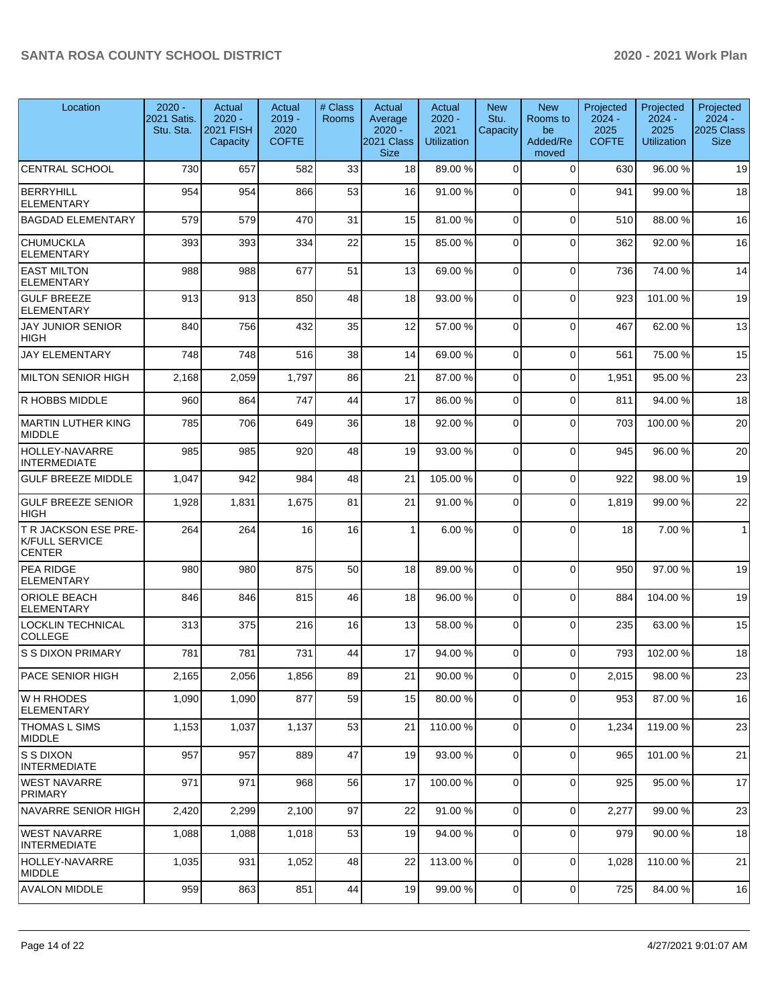| Location                                                | $2020 -$<br>2021 Satis.<br>Stu. Sta. | Actual<br>$2020 -$<br><b>2021 FISH</b><br>Capacity | Actual<br>$2019 -$<br>2020<br><b>COFTE</b> | # Class<br>Rooms | Actual<br>Average<br>$2020 -$<br>2021 Class<br><b>Size</b> | Actual<br>$2020 -$<br>2021<br><b>Utilization</b> | <b>New</b><br>Stu.<br>Capacity | <b>New</b><br>Rooms to<br>be<br>Added/Re<br>moved | Projected<br>$2024 -$<br>2025<br><b>COFTE</b> | Projected<br>$2024 -$<br>2025<br><b>Utilization</b> | Projected<br>$2024 -$<br>2025 Class  <br><b>Size</b> |
|---------------------------------------------------------|--------------------------------------|----------------------------------------------------|--------------------------------------------|------------------|------------------------------------------------------------|--------------------------------------------------|--------------------------------|---------------------------------------------------|-----------------------------------------------|-----------------------------------------------------|------------------------------------------------------|
| <b>CENTRAL SCHOOL</b>                                   | 730                                  | 657                                                | 582                                        | 33               | 18                                                         | 89.00 %                                          | $\Omega$                       | $\Omega$                                          | 630                                           | 96.00 %                                             | 19                                                   |
| BERRYHILL<br><b>ELEMENTARY</b>                          | 954                                  | 954                                                | 866                                        | 53               | 16                                                         | 91.00%                                           | $\Omega$                       | $\Omega$                                          | 941                                           | 99.00 %                                             | 18                                                   |
| <b>BAGDAD ELEMENTARY</b>                                | 579                                  | 579                                                | 470                                        | 31               | 15                                                         | 81.00%                                           | $\Omega$                       | $\Omega$                                          | 510                                           | 88.00 %                                             | 16                                                   |
| <b>CHUMUCKLA</b><br><b>ELEMENTARY</b>                   | 393                                  | 393                                                | 334                                        | 22               | 15                                                         | 85.00%                                           | $\Omega$                       | $\Omega$                                          | 362                                           | 92.00 %                                             | 16                                                   |
| <b>EAST MILTON</b><br><b>ELEMENTARY</b>                 | 988                                  | 988                                                | 677                                        | 51               | 13                                                         | 69.00 %                                          | $\Omega$                       | 0                                                 | 736                                           | 74.00 %                                             | 14                                                   |
| <b>GULF BREEZE</b><br><b>ELEMENTARY</b>                 | 913                                  | 913                                                | 850                                        | 48               | 18                                                         | 93.00 %                                          | $\Omega$                       | $\Omega$                                          | 923                                           | 101.00%                                             | 19                                                   |
| <b>JAY JUNIOR SENIOR</b><br><b>HIGH</b>                 | 840                                  | 756                                                | 432                                        | 35               | 12                                                         | 57.00 %                                          | $\Omega$                       | $\Omega$                                          | 467                                           | 62.00 %                                             | 13                                                   |
| <b>JAY ELEMENTARY</b>                                   | 748                                  | 748                                                | 516                                        | 38               | 14                                                         | 69.00 %                                          | $\Omega$                       | 0                                                 | 561                                           | 75.00 %                                             | 15                                                   |
| MILTON SENIOR HIGH                                      | 2,168                                | 2,059                                              | 1,797                                      | 86               | 21                                                         | 87.00 %                                          | $\Omega$                       | $\mathbf 0$                                       | 1,951                                         | 95.00 %                                             | 23                                                   |
| R HOBBS MIDDLE                                          | 960                                  | 864                                                | 747                                        | 44               | 17                                                         | 86.00 %                                          | $\overline{0}$                 | 0                                                 | 811                                           | 94.00 %                                             | 18                                                   |
| MARTIN LUTHER KING<br>MIDDLE                            | 785                                  | 706                                                | 649                                        | 36               | 18                                                         | 92.00 %                                          | $\Omega$                       | $\mathbf{0}$                                      | 703                                           | 100.00%                                             | 20                                                   |
| HOLLEY-NAVARRE<br><b>INTERMEDIATE</b>                   | 985                                  | 985                                                | 920                                        | 48               | 19                                                         | 93.00 %                                          | $\Omega$                       | $\Omega$                                          | 945                                           | 96.00 %                                             | 20                                                   |
| <b>GULF BREEZE MIDDLE</b>                               | 1,047                                | 942                                                | 984                                        | 48               | 21                                                         | 105.00%                                          | $\Omega$                       | $\Omega$                                          | 922                                           | 98.00 %                                             | 19                                                   |
| <b>GULF BREEZE SENIOR</b><br><b>HIGH</b>                | 1,928                                | 1,831                                              | 1,675                                      | 81               | 21                                                         | 91.00%                                           | $\Omega$                       | $\Omega$                                          | 1,819                                         | 99.00 %                                             | 22                                                   |
| T R JACKSON ESE PRE-<br>K/FULL SERVICE<br><b>CENTER</b> | 264                                  | 264                                                | 16                                         | 16               | 1                                                          | 6.00%                                            | $\Omega$                       | $\Omega$                                          | 18                                            | 7.00 %                                              | 1                                                    |
| <b>PEA RIDGE</b><br><b>ELEMENTARY</b>                   | 980                                  | 980                                                | 875                                        | 50               | 18                                                         | 89.00 %                                          | $\Omega$                       | $\Omega$                                          | 950                                           | 97.00 %                                             | 19                                                   |
| <b>ORIOLE BEACH</b><br><b>ELEMENTARY</b>                | 846                                  | 846                                                | 815                                        | 46               | 18                                                         | 96.00 %                                          | $\Omega$                       | $\Omega$                                          | 884                                           | 104.00%                                             | 19                                                   |
| <b>LOCKLIN TECHNICAL</b><br><b>COLLEGE</b>              | 313                                  | 375                                                | 216                                        | 16               | 13                                                         | 58.00 %                                          | $\Omega$                       | $\Omega$                                          | 235                                           | 63.00 %                                             | 15                                                   |
| <b>S S DIXON PRIMARY</b>                                | 781                                  | 781                                                | 731                                        | 44               | 17                                                         | 94.00 %                                          | $\Omega$                       | $\Omega$                                          | 793                                           | 102.00%                                             | 18                                                   |
| <b>PACE SENIOR HIGH</b>                                 | 2,165                                | 2,056                                              | 1,856                                      | 89               | 21                                                         | 90.00 %                                          | $\Omega$                       | 0                                                 | 2,015                                         | 98.00 %                                             | 23                                                   |
| W H RHODES<br> ELEMENTARY                               | 1,090                                | 1,090                                              | 877                                        | 59               | 15                                                         | 80.00 %                                          | $\Omega$                       | 0                                                 | 953                                           | 87.00 %                                             | 16                                                   |
| <b>THOMAS L SIMS</b><br>MIDDLE                          | 1,153                                | 1,037                                              | 1,137                                      | 53               | 21                                                         | 110.00%                                          | $\Omega$                       | 0                                                 | 1,234                                         | 119.00%                                             | 23                                                   |
| <b>S S DIXON</b><br><b>INTERMEDIATE</b>                 | 957                                  | 957                                                | 889                                        | 47               | 19                                                         | 93.00 %                                          | $\overline{0}$                 | 0                                                 | 965                                           | 101.00%                                             | 21                                                   |
| WEST NAVARRE<br><b>PRIMARY</b>                          | 971                                  | 971                                                | 968                                        | 56               | 17                                                         | 100.00%                                          | $\Omega$                       | 0                                                 | 925                                           | 95.00 %                                             | 17                                                   |
| INAVARRE SENIOR HIGH                                    | 2,420                                | 2,299                                              | 2,100                                      | 97               | 22                                                         | 91.00%                                           | $\overline{0}$                 | 0                                                 | 2,277                                         | 99.00 %                                             | 23                                                   |
| WEST NAVARRE<br><b>INTERMEDIATE</b>                     | 1,088                                | 1,088                                              | 1,018                                      | 53               | 19                                                         | 94.00%                                           | $\Omega$                       | $\Omega$                                          | 979                                           | 90.00 %                                             | 18                                                   |
| HOLLEY-NAVARRE<br><b>MIDDLE</b>                         | 1,035                                | 931                                                | 1,052                                      | 48               | 22                                                         | 113.00 %                                         | $\overline{0}$                 | 0                                                 | 1,028                                         | 110.00%                                             | 21                                                   |
| <b>AVALON MIDDLE</b>                                    | 959                                  | 863                                                | 851                                        | 44               | 19                                                         | 99.00 %                                          | $\overline{0}$                 | 0                                                 | 725                                           | 84.00%                                              | 16                                                   |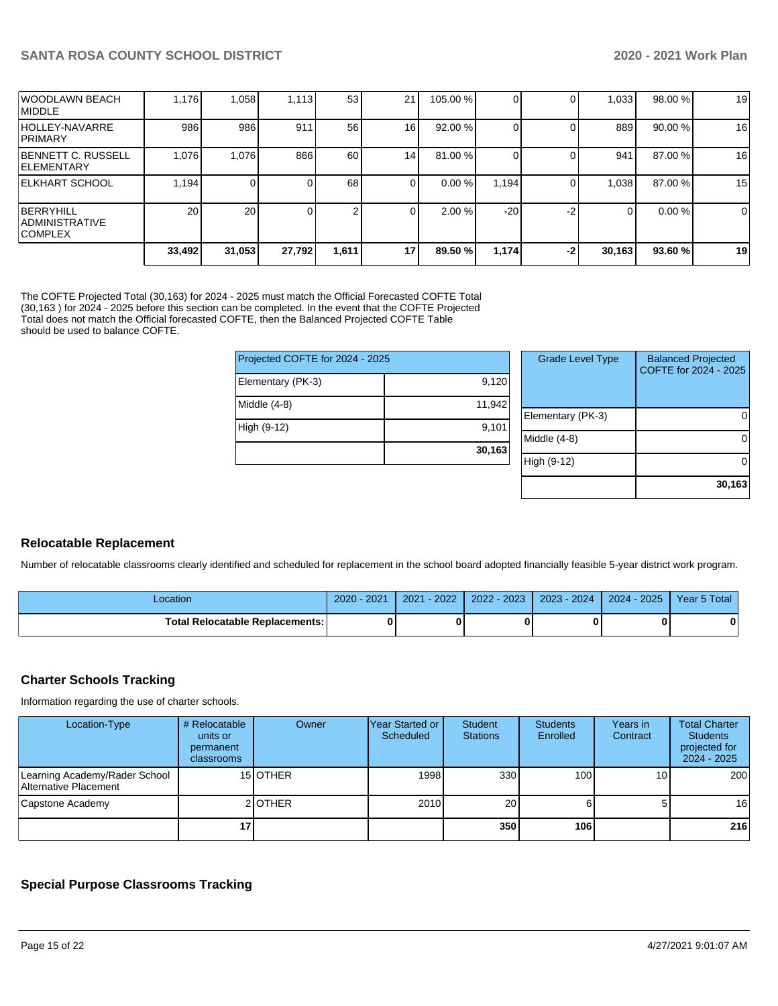|                                                      | 33,492 | 31,053 | 27,792 | 1,611 | 17              | 89.50 %  | 1,174 | $-2$ | 30,163 | 93.60%  | 19 |
|------------------------------------------------------|--------|--------|--------|-------|-----------------|----------|-------|------|--------|---------|----|
| BERRYHILL<br><b>ADMINISTRATIVE</b><br><b>COMPLEX</b> | 20     | 20     |        | 2     | 0               | 2.00%    | $-20$ | -2   |        | 0.00%   | 0  |
| ELKHART SCHOOL                                       | 1.194  | 0      |        | 68    | $\Omega$        | 0.00%    | 1,194 |      | 1,038  | 87.00 % | 15 |
| BENNETT C. RUSSELL<br><b>IELEMENTARY</b>             | 1.076  | 1,076  | 866    | 60    | 14 <sub>1</sub> | 81.00 %  |       |      | 941    | 87.00 % | 16 |
| HOLLEY-NAVARRE<br><b>PRIMARY</b>                     | 986    | 986    | 911    | 56    | 16              | 92.00 %  |       |      | 889    | 90.00 % | 16 |
| IWOODLAWN BEACH<br><b>IMIDDLE</b>                    | 1.176  | 1,058  | 1,113  | 53    | 21              | 105.00 % |       |      | 1,033  | 98.00 % | 19 |

The COFTE Projected Total (30,163) for 2024 - 2025 must match the Official Forecasted COFTE Total (30,163 ) for 2024 - 2025 before this section can be completed. In the event that the COFTE Projected Total does not match the Official forecasted COFTE, then the Balanced Projected COFTE Table should be used to balance COFTE.

| Projected COFTE for 2024 - 2025 |        | <b>Grade Level Type</b> | <b>Balanced Projected</b><br>COFTE for 2024 - 2025 |
|---------------------------------|--------|-------------------------|----------------------------------------------------|
| Elementary (PK-3)               | 9,120  |                         |                                                    |
| Middle (4-8)                    | 11,942 |                         |                                                    |
|                                 |        | Elementary (PK-3)       | 0                                                  |
| High (9-12)                     | 9,101  |                         |                                                    |
|                                 |        | Middle (4-8)            | $\Omega$                                           |
|                                 | 30,163 |                         |                                                    |
|                                 |        | High (9-12)             | $\Omega$                                           |
|                                 |        |                         |                                                    |
|                                 |        |                         | 30.163                                             |

# **Relocatable Replacement**

Number of relocatable classrooms clearly identified and scheduled for replacement in the school board adopted financially feasible 5-year district work program.

| ocation                           | $-2021$<br>2020 | 2022<br>2021 | $-2023$<br>2022 | 2023 - 2024 | 2025<br>$2024 -$ | Year 5 Total |
|-----------------------------------|-----------------|--------------|-----------------|-------------|------------------|--------------|
| Total Relocatable Replacements: I |                 |              |                 |             |                  |              |

# **Charter Schools Tracking**

Information regarding the use of charter schools.

| Location-Type                                          | # Relocatable<br>units or<br>permanent<br>classrooms | Owner    | lYear Started or<br>Scheduled | Student<br><b>Stations</b> | <b>Students</b><br>Enrolled | Years in<br>Contract | <b>Total Charter</b><br><b>Students</b><br>projected for<br>$2024 - 2025$ |
|--------------------------------------------------------|------------------------------------------------------|----------|-------------------------------|----------------------------|-----------------------------|----------------------|---------------------------------------------------------------------------|
| Learning Academy/Rader School<br>Alternative Placement |                                                      | 15 OTHER | 1998                          | 330                        | 100 <sup>1</sup>            | 10                   | 200                                                                       |
| Capstone Academy                                       |                                                      | 2 OTHER  | 2010                          | 20                         |                             | $5^{\circ}$          | 16 l                                                                      |
|                                                        | 17                                                   |          |                               | 350                        | <b>106</b>                  |                      | 216                                                                       |

## **Special Purpose Classrooms Tracking**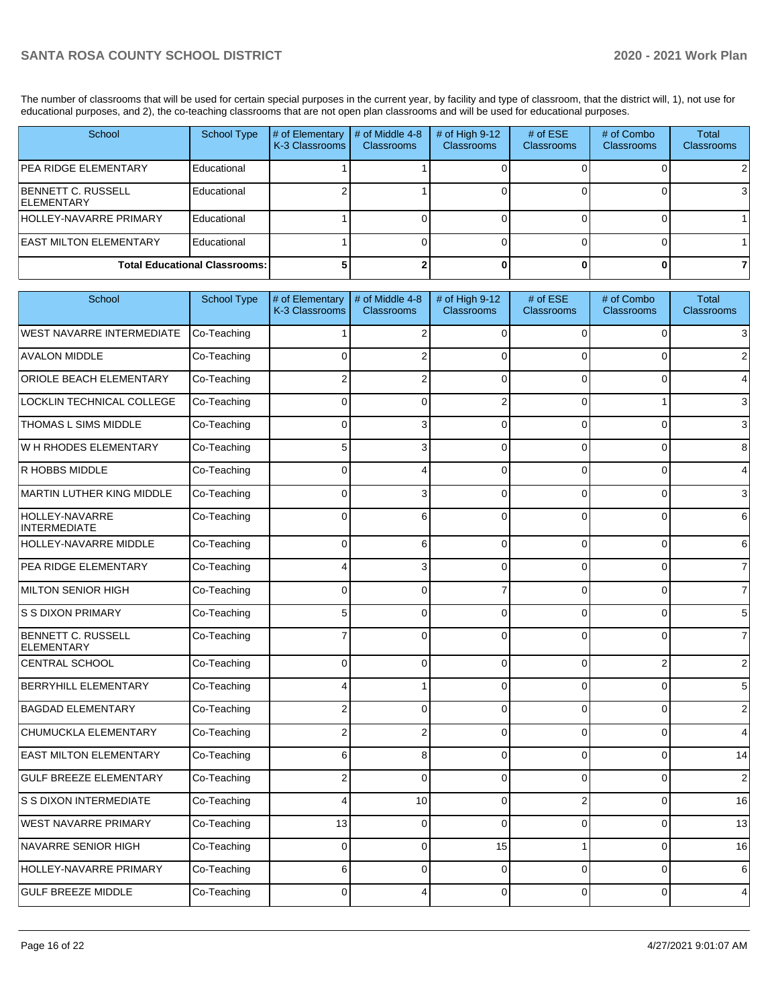The number of classrooms that will be used for certain special purposes in the current year, by facility and type of classroom, that the district will, 1), not use for educational purposes, and 2), the co-teaching classrooms that are not open plan classrooms and will be used for educational purposes.

| School                                    | <b>School Type</b>                   | # of Elementary<br>K-3 Classrooms | # of Middle 4-8<br><b>Classrooms</b> | $#$ of High 9-12<br><b>Classrooms</b> | # of $ESE$<br><b>Classrooms</b> | # of Combo<br><b>Classrooms</b> | Total<br><b>Classrooms</b> |
|-------------------------------------------|--------------------------------------|-----------------------------------|--------------------------------------|---------------------------------------|---------------------------------|---------------------------------|----------------------------|
| IPEA RIDGE ELEMENTARY                     | Educational                          |                                   |                                      |                                       |                                 |                                 |                            |
| IBENNETT C. RUSSELL<br><b>IELEMENTARY</b> | Educational                          |                                   |                                      |                                       |                                 |                                 |                            |
| <b>HOLLEY-NAVARRE PRIMARY</b>             | Educational                          |                                   |                                      |                                       |                                 |                                 |                            |
| <b>EAST MILTON ELEMENTARY</b>             | Educational                          |                                   |                                      |                                       |                                 |                                 |                            |
|                                           | <b>Total Educational Classrooms:</b> |                                   |                                      |                                       |                                 |                                 |                            |

| School                                         | <b>School Type</b> | # of Elementary<br>K-3 Classrooms | # of Middle 4-8<br><b>Classrooms</b> | # of High 9-12<br><b>Classrooms</b> | # of ESE<br>Classrooms | # of Combo<br><b>Classrooms</b> | <b>Total</b><br><b>Classrooms</b> |
|------------------------------------------------|--------------------|-----------------------------------|--------------------------------------|-------------------------------------|------------------------|---------------------------------|-----------------------------------|
| <b>WEST NAVARRE INTERMEDIATE</b>               | Co-Teaching        |                                   | $\overline{2}$                       | $\Omega$                            | $\Omega$               | $\Omega$                        | $\overline{3}$                    |
| <b>AVALON MIDDLE</b>                           | Co-Teaching        | $\Omega$                          | $\overline{2}$                       | $\Omega$                            | $\Omega$               | 0                               | $\overline{2}$                    |
| <b>ORIOLE BEACH ELEMENTARY</b>                 | Co-Teaching        | $\overline{2}$                    | 2                                    | $\Omega$                            | $\Omega$               | $\Omega$                        | $\overline{4}$                    |
| LOCKLIN TECHNICAL COLLEGE                      | Co-Teaching        | $\mathbf{0}$                      | $\Omega$                             | $\overline{2}$                      | $\overline{0}$         | 1                               | $\mathbf{3}$                      |
| <b>THOMAS L SIMS MIDDLE</b>                    | Co-Teaching        | $\mathbf{0}$                      | 3                                    | $\Omega$                            | $\overline{0}$         | $\mathbf 0$                     | 3                                 |
| W H RHODES ELEMENTARY                          | Co-Teaching        | 5                                 | 3                                    | $\Omega$                            | $\Omega$               | 0                               | 8                                 |
| R HOBBS MIDDLE                                 | Co-Teaching        | $\mathbf 0$                       | 4                                    | $\Omega$                            | 0                      | 0                               | $\overline{4}$                    |
| MARTIN LUTHER KING MIDDLE                      | Co-Teaching        | $\mathbf 0$                       | 3                                    | $\Omega$                            | 0                      | 0                               | $\mathbf{3}$                      |
| HOLLEY-NAVARRE<br><b>INTERMEDIATE</b>          | Co-Teaching        | $\mathbf{0}$                      | 6                                    | $\Omega$                            | $\Omega$               | $\overline{0}$                  | $6 \mid$                          |
| <b>HOLLEY-NAVARRE MIDDLE</b>                   | Co-Teaching        | $\Omega$                          | 6                                    | $\Omega$                            | $\Omega$               | $\Omega$                        | $6 \mid$                          |
| <b>PEA RIDGE ELEMENTARY</b>                    | Co-Teaching        | 4                                 | 3                                    | $\Omega$                            | $\Omega$               | $\overline{0}$                  | $\overline{7}$                    |
| MILTON SENIOR HIGH                             | Co-Teaching        | $\Omega$                          | $\Omega$                             | 7                                   | $\Omega$               | 0                               | $\overline{7}$                    |
| <b>S S DIXON PRIMARY</b>                       | Co-Teaching        | 5                                 | $\Omega$                             | $\Omega$                            | $\Omega$               | 0                               | 5 <sub>5</sub>                    |
| <b>BENNETT C. RUSSELL</b><br><b>ELEMENTARY</b> | Co-Teaching        | $\overline{7}$                    | $\Omega$                             | $\Omega$                            | $\Omega$               | $\Omega$                        | $\overline{7}$                    |
| CENTRAL SCHOOL                                 | Co-Teaching        | $\mathbf 0$                       | $\mathbf 0$                          | $\Omega$                            | 0                      | 2                               | $\overline{2}$                    |
| <b>BERRYHILL ELEMENTARY</b>                    | Co-Teaching        | $\overline{4}$                    |                                      | $\Omega$                            | $\Omega$               | 0                               | 5 <sup>5</sup>                    |
| <b>BAGDAD ELEMENTARY</b>                       | Co-Teaching        | $\overline{2}$                    | $\Omega$                             | $\Omega$                            | $\Omega$               | 0                               | $\sqrt{2}$                        |
| <b>CHUMUCKLA ELEMENTARY</b>                    | Co-Teaching        | $\overline{2}$                    | $\overline{2}$                       | $\Omega$                            | $\Omega$               | 0                               | $\overline{4}$                    |
| <b>EAST MILTON ELEMENTARY</b>                  | Co-Teaching        | 6                                 | 8                                    | $\Omega$                            | 0                      | 0                               | 14                                |
| <b>GULF BREEZE ELEMENTARY</b>                  | Co-Teaching        | $\overline{2}$                    | $\Omega$                             | $\Omega$                            | 0                      | 0                               | $\overline{2}$                    |
| <b>S S DIXON INTERMEDIATE</b>                  | Co-Teaching        | 4                                 | 10                                   | $\Omega$                            | $\overline{2}$         | 0                               | 16                                |
| WEST NAVARRE PRIMARY                           | Co-Teaching        | 13                                | $\Omega$                             | $\Omega$                            | 0                      | 0                               | 13                                |
| NAVARRE SENIOR HIGH                            | Co-Teaching        | $\mathbf 0$                       | $\mathbf 0$                          | 15                                  | $\mathbf{1}$           | 0                               | 16                                |
| HOLLEY-NAVARRE PRIMARY                         | Co-Teaching        | 6                                 | $\Omega$                             | $\Omega$                            | 0                      | 0                               | $6 \mid$                          |
| <b>GULF BREEZE MIDDLE</b>                      | Co-Teaching        | $\Omega$                          |                                      | $\Omega$                            | 0                      | 0                               | $\overline{4}$                    |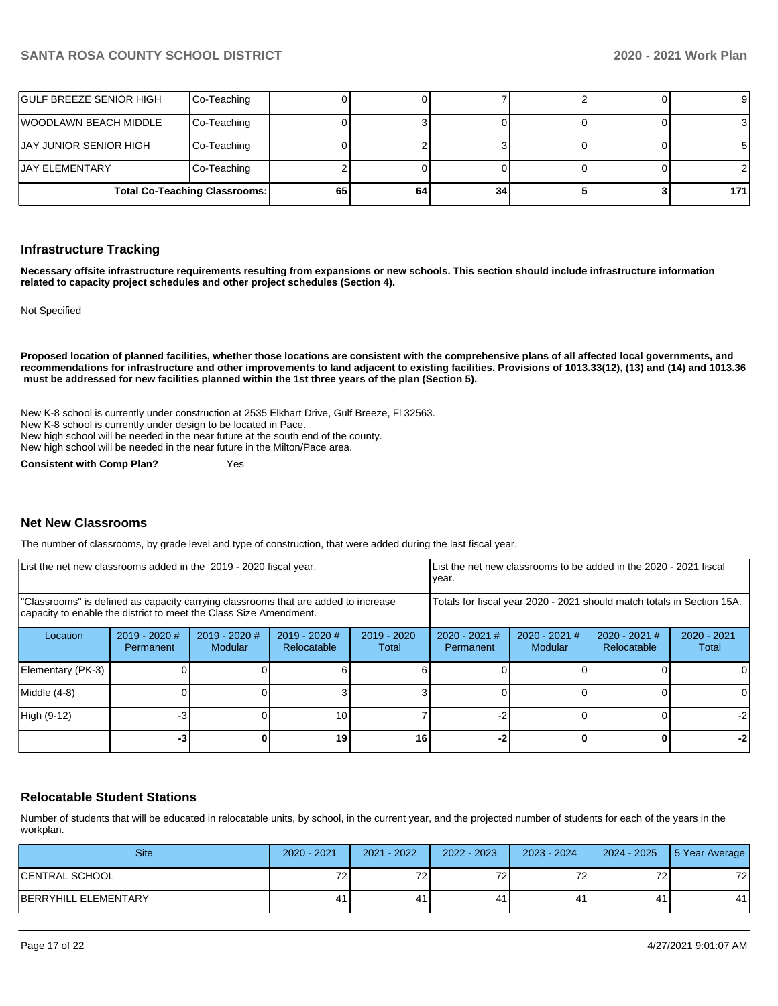| GULF BREEZE SENIOR HIGH       | Co-Teaching                          |    |    |    |  | 91  |
|-------------------------------|--------------------------------------|----|----|----|--|-----|
| WOODLAWN BEACH MIDDLE         | Co-Teaching                          |    |    |    |  |     |
| <b>JAY JUNIOR SENIOR HIGH</b> | Co-Teaching                          |    |    |    |  |     |
| IJAY ELEMENTARY               | Co-Teaching                          |    |    |    |  |     |
|                               | <b>Total Co-Teaching Classrooms:</b> | 65 | 64 | 34 |  | 171 |

#### **Infrastructure Tracking**

**Necessary offsite infrastructure requirements resulting from expansions or new schools. This section should include infrastructure information related to capacity project schedules and other project schedules (Section 4).** 

Not Specified

**Proposed location of planned facilities, whether those locations are consistent with the comprehensive plans of all affected local governments, and recommendations for infrastructure and other improvements to land adjacent to existing facilities. Provisions of 1013.33(12), (13) and (14) and 1013.36 must be addressed for new facilities planned within the 1st three years of the plan (Section 5).** 

New K-8 school is currently under construction at 2535 Elkhart Drive, Gulf Breeze, Fl 32563. New K-8 school is currently under design to be located in Pace. New high school will be needed in the near future at the south end of the county. New high school will be needed in the near future in the Milton/Pace area.

**Consistent with Comp Plan?** Yes

#### **Net New Classrooms**

The number of classrooms, by grade level and type of construction, that were added during the last fiscal year.

| List the net new classrooms added in the 2019 - 2020 fiscal year.                                                                                       |                                   |                                 |                                |                        | List the net new classrooms to be added in the 2020 - 2021 fiscal<br>year. |                          |                                                                        |                        |  |
|---------------------------------------------------------------------------------------------------------------------------------------------------------|-----------------------------------|---------------------------------|--------------------------------|------------------------|----------------------------------------------------------------------------|--------------------------|------------------------------------------------------------------------|------------------------|--|
| "Classrooms" is defined as capacity carrying classrooms that are added to increase<br>capacity to enable the district to meet the Class Size Amendment. |                                   |                                 |                                |                        |                                                                            |                          | Totals for fiscal year 2020 - 2021 should match totals in Section 15A. |                        |  |
| Location                                                                                                                                                | 2019 - 2020 #<br><b>Permanent</b> | 2019 - 2020 #<br><b>Modular</b> | $2019 - 2020$ #<br>Relocatable | $2019 - 2020$<br>Total | $2020 - 2021$ #<br>Permanent                                               | 2020 - 2021 #<br>Modular | 2020 - 2021 #<br>Relocatable                                           | $2020 - 2021$<br>Total |  |
| Elementary (PK-3)                                                                                                                                       |                                   |                                 |                                |                        |                                                                            |                          |                                                                        |                        |  |
| Middle (4-8)                                                                                                                                            |                                   |                                 |                                |                        |                                                                            |                          |                                                                        | ΩI                     |  |
| High (9-12)                                                                                                                                             | $-3$                              |                                 | 10                             |                        |                                                                            |                          |                                                                        | $-2$                   |  |
|                                                                                                                                                         | $-3$                              |                                 | 19                             | 16                     |                                                                            |                          | 0                                                                      | $-2$                   |  |

### **Relocatable Student Stations**

Number of students that will be educated in relocatable units, by school, in the current year, and the projected number of students for each of the years in the workplan.

| <b>Site</b>          | $2020 - 2021$ | $2021 - 2022$     | $2022 - 2023$ | 2023 - 2024           | 2024 - 2025 | 5 Year Average |
|----------------------|---------------|-------------------|---------------|-----------------------|-------------|----------------|
| CENTRAL SCHOOL       | 70            | 70.<br>$\epsilon$ | 70            | $70^{\circ}$<br>، د ، | 70<br>z     | 72             |
| BERRYHILL ELEMENTARY | 41            | 41                | 41            | 41                    | 41          | 41             |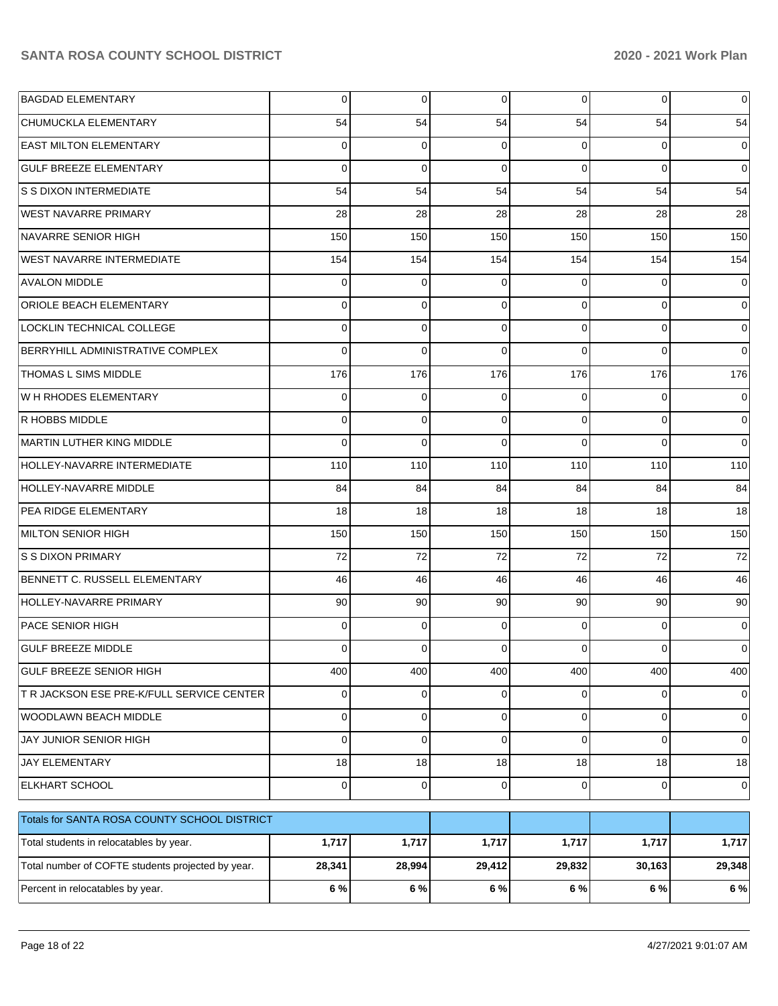| <b>BAGDAD ELEMENTARY</b>                          | 0           | 0           | 0           | $\overline{0}$ | 0           | $\mathbf 0$ |
|---------------------------------------------------|-------------|-------------|-------------|----------------|-------------|-------------|
| CHUMUCKLA ELEMENTARY                              | 54          | 54          | 54          | 54             | 54          | 54          |
| <b>EAST MILTON ELEMENTARY</b>                     | 0           | 0           | $\Omega$    | $\Omega$       | 0           | 0           |
| <b>GULF BREEZE ELEMENTARY</b>                     | $\Omega$    | 0           | $\Omega$    | $\Omega$       | $\Omega$    | $\mathbf 0$ |
| S S DIXON INTERMEDIATE                            | 54          | 54          | 54          | 54             | 54          | 54          |
| <b>WEST NAVARRE PRIMARY</b>                       | 28          | 28          | 28          | 28             | 28          | 28          |
| NAVARRE SENIOR HIGH                               | 150         | 150         | 150         | 150            | 150         | 150         |
| <b>WEST NAVARRE INTERMEDIATE</b>                  | 154         | 154         | 154         | 154            | 154         | 154         |
| <b>AVALON MIDDLE</b>                              | 0           | 0           | $\Omega$    | $\Omega$       | 0           | 0           |
| ORIOLE BEACH ELEMENTARY                           | 0           | 0           | $\Omega$    | $\Omega$       | 0           | 0           |
| LOCKLIN TECHNICAL COLLEGE                         | 0           | 0           | $\Omega$    | $\Omega$       | 0           | 0           |
| BERRYHILL ADMINISTRATIVE COMPLEX                  | $\Omega$    | 0           | $\Omega$    | $\Omega$       | $\Omega$    | $\Omega$    |
| THOMAS L SIMS MIDDLE                              | 176         | 176         | 176         | 176            | 176         | 176         |
| W H RHODES ELEMENTARY                             | 0           | 0           | $\Omega$    | $\Omega$       | 0           | 0           |
| R HOBBS MIDDLE                                    | 0           | 0           | $\Omega$    | $\Omega$       | $\Omega$    | $\mathbf 0$ |
| MARTIN LUTHER KING MIDDLE                         | $\Omega$    | 0           | $\Omega$    | $\Omega$       | $\Omega$    | $\mathbf 0$ |
| HOLLEY-NAVARRE INTERMEDIATE                       | 110         | 110         | 110         | 110            | 110         | 110         |
| HOLLEY-NAVARRE MIDDLE                             | 84          | 84          | 84          | 84             | 84          | 84          |
| PEA RIDGE ELEMENTARY                              | 18          | 18          | 18          | 18             | 18          | 18          |
| MILTON SENIOR HIGH                                | 150         | 150         | 150         | 150            | 150         | 150         |
| S S DIXON PRIMARY                                 | 72          | 72          | 72          | 72             | 72          | 72          |
| BENNETT C. RUSSELL ELEMENTARY                     | 46          | 46          | 46          | 46             | 46          | 46          |
| HOLLEY-NAVARRE PRIMARY                            | 90          | 90          | 90          | 90             | 90          | 90          |
| <b>PACE SENIOR HIGH</b>                           | 0           | 0           | $\Omega$    | $\Omega$       | 0           | 0           |
| <b>GULF BREEZE MIDDLE</b>                         | $\Omega$    | 0           | $\Omega$    | $\Omega$       | 0           | 0           |
| GULF BREEZE SENIOR HIGH                           | 400         | 400         | 400         | 400            | 400         | 400         |
| T R JACKSON ESE PRE-K/FULL SERVICE CENTER         | 0           | 0           | 0           | 0              | 0           | 0           |
| WOODLAWN BEACH MIDDLE                             | 0           | 0           | $\mathbf 0$ | $\mathbf 0$    | 0           | $\mathbf 0$ |
| JAY JUNIOR SENIOR HIGH                            | 0           | $\mathbf 0$ | $\mathbf 0$ | $\mathbf 0$    | 0           | 0           |
| <b>JAY ELEMENTARY</b>                             | 18          | 18          | 18          | 18             | 18          | 18          |
| ELKHART SCHOOL                                    | $\mathbf 0$ | 0           | $\mathbf 0$ | $\overline{0}$ | $\mathbf 0$ | 0           |
| Totals for SANTA ROSA COUNTY SCHOOL DISTRICT      |             |             |             |                |             |             |
| Total students in relocatables by year.           | 1,717       | 1,717       | 1,717       | 1,717          | 1,717       | 1,717       |
| Total number of COFTE students projected by year. | 28,341      | 28,994      | 29,412      | 29,832         | 30,163      | 29,348      |
| Percent in relocatables by year.                  | $6\%$       | $6\%$       | $6\%$       | $6\%$          | 6 %         | 6 %         |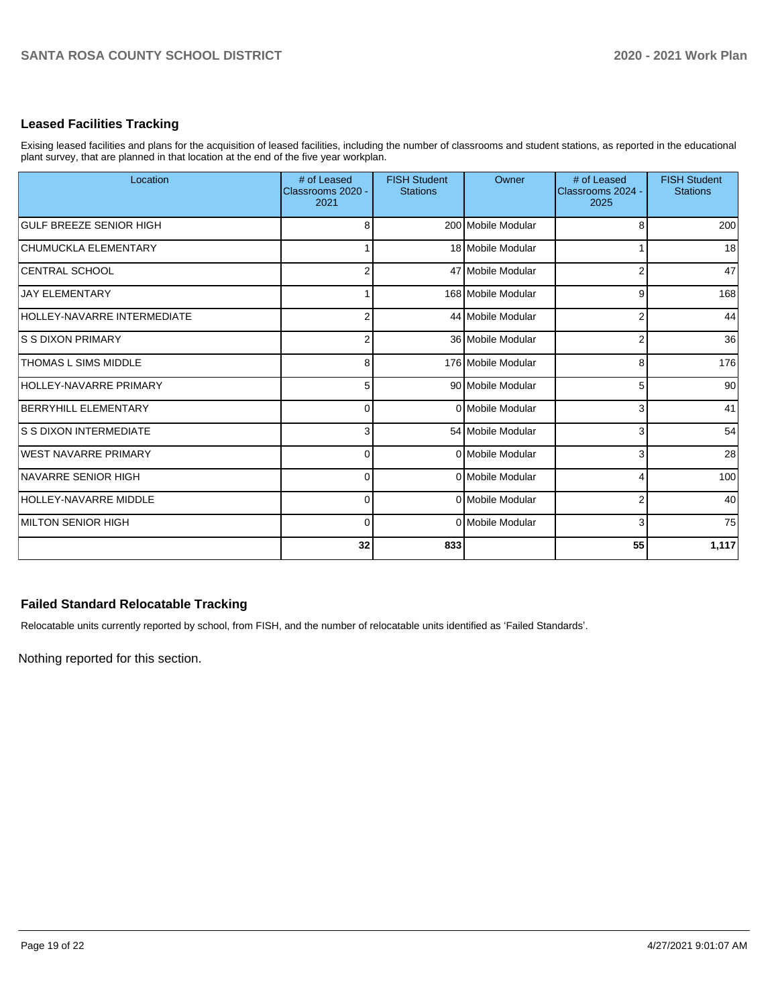## **Leased Facilities Tracking**

Exising leased facilities and plans for the acquisition of leased facilities, including the number of classrooms and student stations, as reported in the educational plant survey, that are planned in that location at the end of the five year workplan.

| Location                           | # of Leased<br>Classrooms 2020 -<br>2021 | <b>FISH Student</b><br><b>Stations</b> | Owner              | # of Leased<br>Classrooms 2024 -<br>2025 | <b>FISH Student</b><br><b>Stations</b> |
|------------------------------------|------------------------------------------|----------------------------------------|--------------------|------------------------------------------|----------------------------------------|
| <b>GULF BREEZE SENIOR HIGH</b>     | 8                                        |                                        | 200 Mobile Modular | ε                                        | 200                                    |
| <b>CHUMUCKLA ELEMENTARY</b>        |                                          |                                        | 18 Mobile Modular  |                                          | 18                                     |
| <b>CENTRAL SCHOOL</b>              | $\overline{2}$                           |                                        | 47 Mobile Modular  | 2                                        | 47                                     |
| <b>JAY ELEMENTARY</b>              |                                          |                                        | 168 Mobile Modular | 9                                        | 168                                    |
| <b>HOLLEY-NAVARRE INTERMEDIATE</b> | $\overline{2}$                           |                                        | 44 Mobile Modular  | 2                                        | 44                                     |
| IS S DIXON PRIMARY                 | $\overline{2}$                           |                                        | 36 Mobile Modular  | 2                                        | 36                                     |
| <b>THOMAS L SIMS MIDDLE</b>        | 8                                        |                                        | 176 Mobile Modular | 8                                        | 176                                    |
| <b>HOLLEY-NAVARRE PRIMARY</b>      | 5                                        |                                        | 90 Mobile Modular  | 5                                        | 90                                     |
| <b>BERRYHILL ELEMENTARY</b>        | $\overline{0}$                           |                                        | 0 Mobile Modular   | 3                                        | 41                                     |
| IS S DIXON INTERMEDIATE            | 3                                        |                                        | 54 Mobile Modular  | 3                                        | 54                                     |
| WEST NAVARRE PRIMARY               | $\Omega$                                 |                                        | 0 Mobile Modular   | 3                                        | 28                                     |
| <b>INAVARRE SENIOR HIGH</b>        | $\Omega$                                 |                                        | 0 Mobile Modular   |                                          | 100                                    |
| HOLLEY-NAVARRE MIDDLE              | $\overline{0}$                           |                                        | 0 Mobile Modular   | 2                                        | 40                                     |
| <b>IMILTON SENIOR HIGH</b>         | $\overline{0}$                           |                                        | 0 Mobile Modular   | 3                                        | 75                                     |
|                                    | 32                                       | 833                                    |                    | 55                                       | 1,117                                  |

# **Failed Standard Relocatable Tracking**

Relocatable units currently reported by school, from FISH, and the number of relocatable units identified as 'Failed Standards'.

Nothing reported for this section.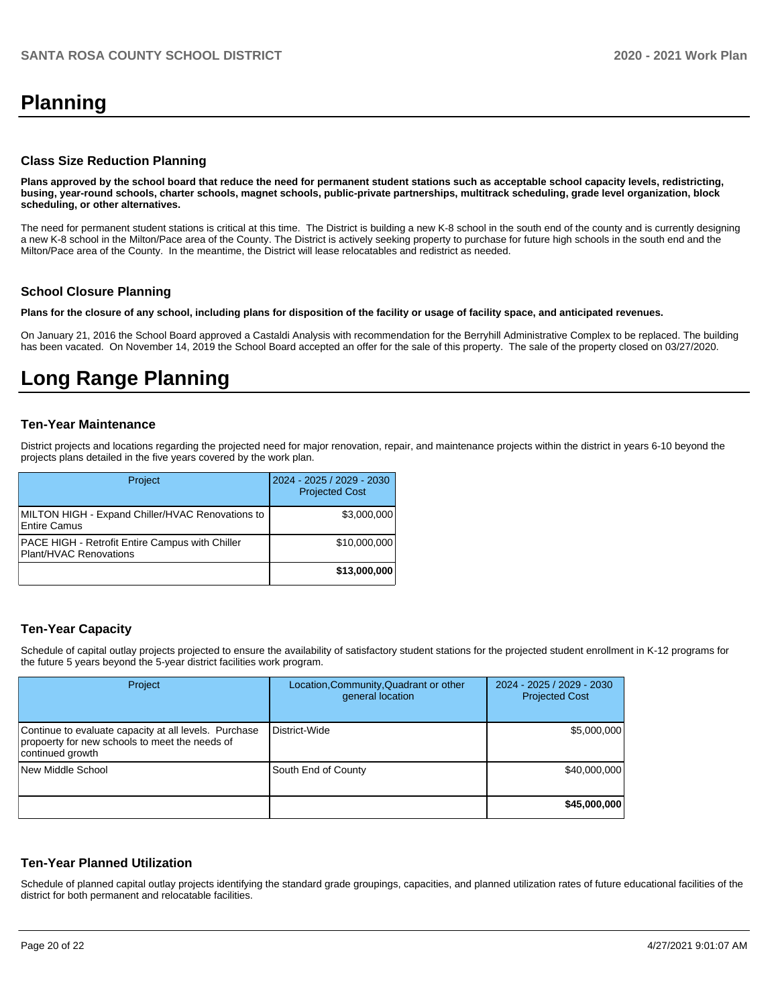# **Planning**

### **Class Size Reduction Planning**

**Plans approved by the school board that reduce the need for permanent student stations such as acceptable school capacity levels, redistricting, busing, year-round schools, charter schools, magnet schools, public-private partnerships, multitrack scheduling, grade level organization, block scheduling, or other alternatives.**

The need for permanent student stations is critical at this time. The District is building a new K-8 school in the south end of the county and is currently designing a new K-8 school in the Milton/Pace area of the County. The District is actively seeking property to purchase for future high schools in the south end and the Milton/Pace area of the County. In the meantime, the District will lease relocatables and redistrict as needed.

### **School Closure Planning**

**Plans for the closure of any school, including plans for disposition of the facility or usage of facility space, and anticipated revenues.** 

On January 21, 2016 the School Board approved a Castaldi Analysis with recommendation for the Berryhill Administrative Complex to be replaced. The building has been vacated. On November 14, 2019 the School Board accepted an offer for the sale of this property. The sale of the property closed on 03/27/2020.

# **Long Range Planning**

#### **Ten-Year Maintenance**

District projects and locations regarding the projected need for major renovation, repair, and maintenance projects within the district in years 6-10 beyond the projects plans detailed in the five years covered by the work plan.

| Project                                                                   | 2024 - 2025 / 2029 - 2030<br><b>Projected Cost</b> |
|---------------------------------------------------------------------------|----------------------------------------------------|
| MILTON HIGH - Expand Chiller/HVAC Renovations to<br>Entire Camus          | \$3,000,000                                        |
| PACE HIGH - Retrofit Entire Campus with Chiller<br>Plant/HVAC Renovations | \$10,000,000                                       |
|                                                                           | \$13,000,000                                       |

## **Ten-Year Capacity**

Schedule of capital outlay projects projected to ensure the availability of satisfactory student stations for the projected student enrollment in K-12 programs for the future 5 years beyond the 5-year district facilities work program.

| Project                                                                                                                     | Location, Community, Quadrant or other<br>general location | 2024 - 2025 / 2029 - 2030<br><b>Projected Cost</b> |
|-----------------------------------------------------------------------------------------------------------------------------|------------------------------------------------------------|----------------------------------------------------|
| Continue to evaluate capacity at all levels. Purchase<br>propoerty for new schools to meet the needs of<br>continued growth | District-Wide                                              | \$5,000,000                                        |
| New Middle School                                                                                                           | South End of County                                        | \$40,000,000                                       |
|                                                                                                                             |                                                            | \$45,000,000                                       |

## **Ten-Year Planned Utilization**

Schedule of planned capital outlay projects identifying the standard grade groupings, capacities, and planned utilization rates of future educational facilities of the district for both permanent and relocatable facilities.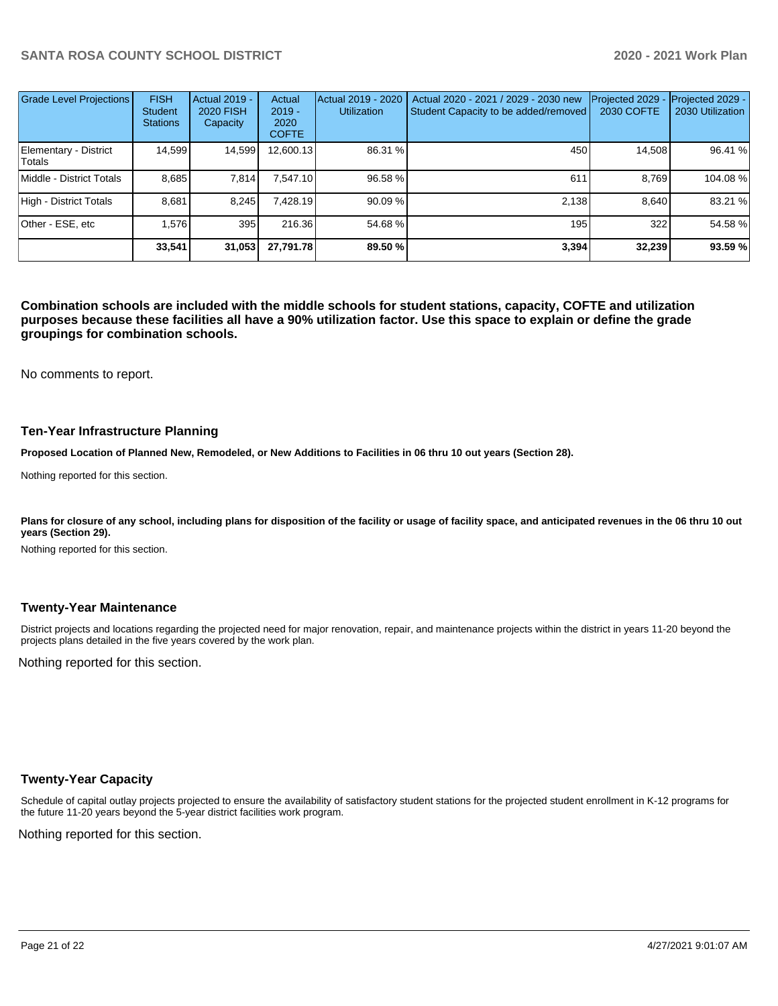| <b>Grade Level Projections</b>  | <b>FISH</b><br><b>Student</b><br><b>Stations</b> | Actual 2019 -<br><b>2020 FISH</b><br>Capacity | Actual<br>$2019 -$<br>2020<br><b>COFTE</b> | Actual 2019 - 2020<br><b>Utilization</b> | Actual 2020 - 2021 / 2029 - 2030 new<br>Student Capacity to be added/removed | Projected 2029<br>2030 COFTE | Projected 2029 -<br>2030 Utilization |
|---------------------------------|--------------------------------------------------|-----------------------------------------------|--------------------------------------------|------------------------------------------|------------------------------------------------------------------------------|------------------------------|--------------------------------------|
| Elementary - District<br>Totals | 14,599                                           | 14,599                                        | 12,600.13                                  | 86.31 %                                  | 450                                                                          | 14,508                       | 96.41 %                              |
| Middle - District Totals        | 8.685                                            | 7,814                                         | 7.547.10                                   | 96.58 %                                  | 611                                                                          | 8.769                        | 104.08 %                             |
| High - District Totals          | 8.681                                            | 8.245                                         | 7.428.19                                   | 90.09 %                                  | 2.138                                                                        | 8.640                        | 83.21 %                              |
| Other - ESE, etc                | 1.576                                            | 395                                           | 216.36                                     | 54.68%                                   | 195                                                                          | 322                          | 54.58 %                              |
|                                 | 33.541                                           | 31,053                                        | 27,791.78                                  | 89.50 %                                  | 3.394                                                                        | 32,239                       | 93.59%                               |

**Combination schools are included with the middle schools for student stations, capacity, COFTE and utilization purposes because these facilities all have a 90% utilization factor. Use this space to explain or define the grade groupings for combination schools.** 

No comments to report.

#### **Ten-Year Infrastructure Planning**

**Proposed Location of Planned New, Remodeled, or New Additions to Facilities in 06 thru 10 out years (Section 28).**

Nothing reported for this section.

Plans for closure of any school, including plans for disposition of the facility or usage of facility space, and anticipated revenues in the 06 thru 10 out **years (Section 29).**

Nothing reported for this section.

#### **Twenty-Year Maintenance**

District projects and locations regarding the projected need for major renovation, repair, and maintenance projects within the district in years 11-20 beyond the projects plans detailed in the five years covered by the work plan.

Nothing reported for this section.

## **Twenty-Year Capacity**

Schedule of capital outlay projects projected to ensure the availability of satisfactory student stations for the projected student enrollment in K-12 programs for the future 11-20 years beyond the 5-year district facilities work program.

Nothing reported for this section.